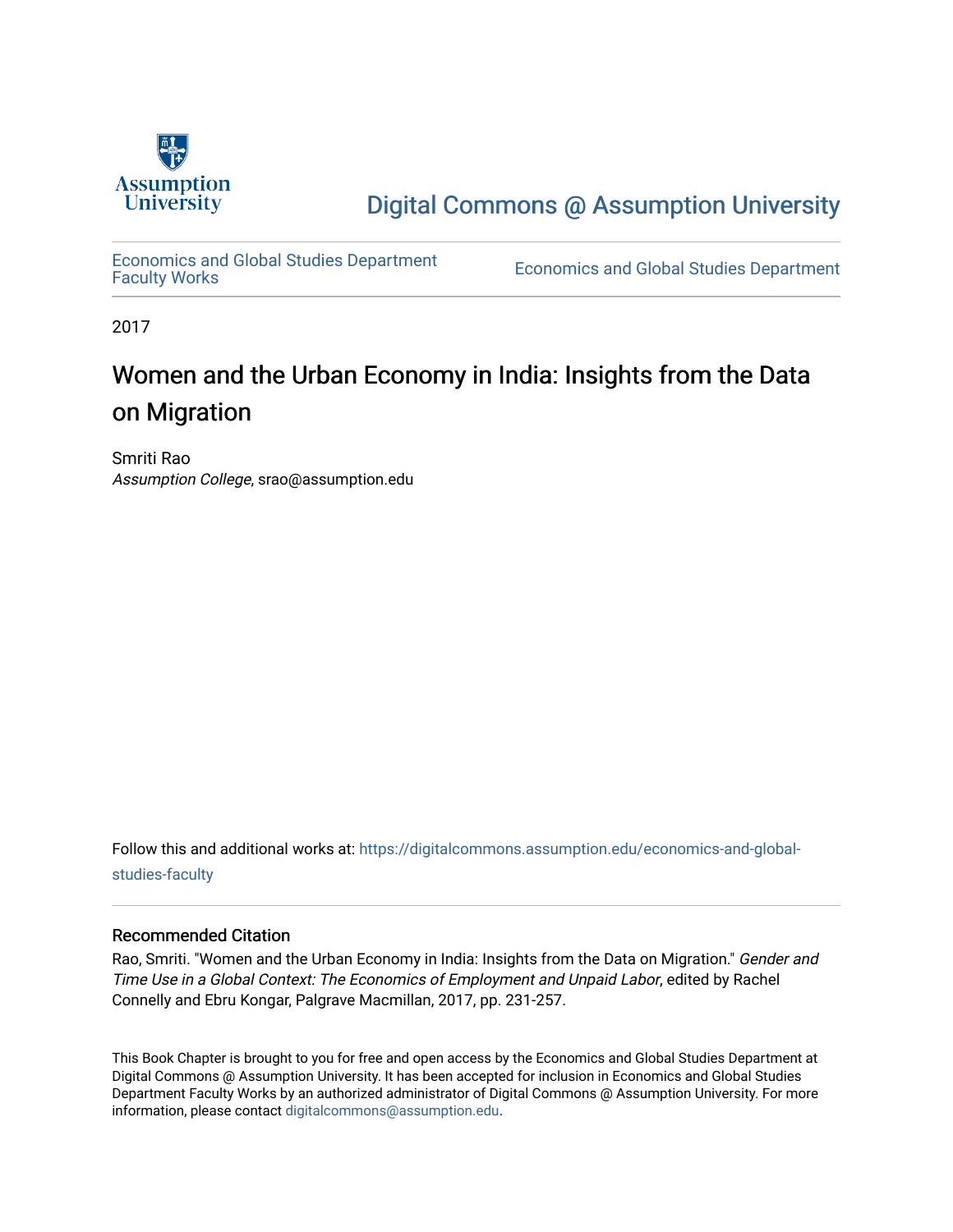

[Digital Commons @ Assumption University](https://digitalcommons.assumption.edu/) 

[Economics and Global Studies Department](https://digitalcommons.assumption.edu/economics-and-global-studies-faculty)

Economics and Global Studies Department

2017

# Women and the Urban Economy in India: Insights from the Data on Migration

Smriti Rao Assumption College, srao@assumption.edu

Follow this and additional works at: [https://digitalcommons.assumption.edu/economics-and-global](https://digitalcommons.assumption.edu/economics-and-global-studies-faculty?utm_source=digitalcommons.assumption.edu%2Feconomics-and-global-studies-faculty%2F1&utm_medium=PDF&utm_campaign=PDFCoverPages)[studies-faculty](https://digitalcommons.assumption.edu/economics-and-global-studies-faculty?utm_source=digitalcommons.assumption.edu%2Feconomics-and-global-studies-faculty%2F1&utm_medium=PDF&utm_campaign=PDFCoverPages)

## Recommended Citation

Rao, Smriti. "Women and the Urban Economy in India: Insights from the Data on Migration." Gender and Time Use in a Global Context: The Economics of Employment and Unpaid Labor, edited by Rachel Connelly and Ebru Kongar, Palgrave Macmillan, 2017, pp. 231-257.

This Book Chapter is brought to you for free and open access by the Economics and Global Studies Department at Digital Commons @ Assumption University. It has been accepted for inclusion in Economics and Global Studies Department Faculty Works by an authorized administrator of Digital Commons @ Assumption University. For more information, please contact [digitalcommons@assumption.edu.](mailto:digitalcommons@assumption.edu)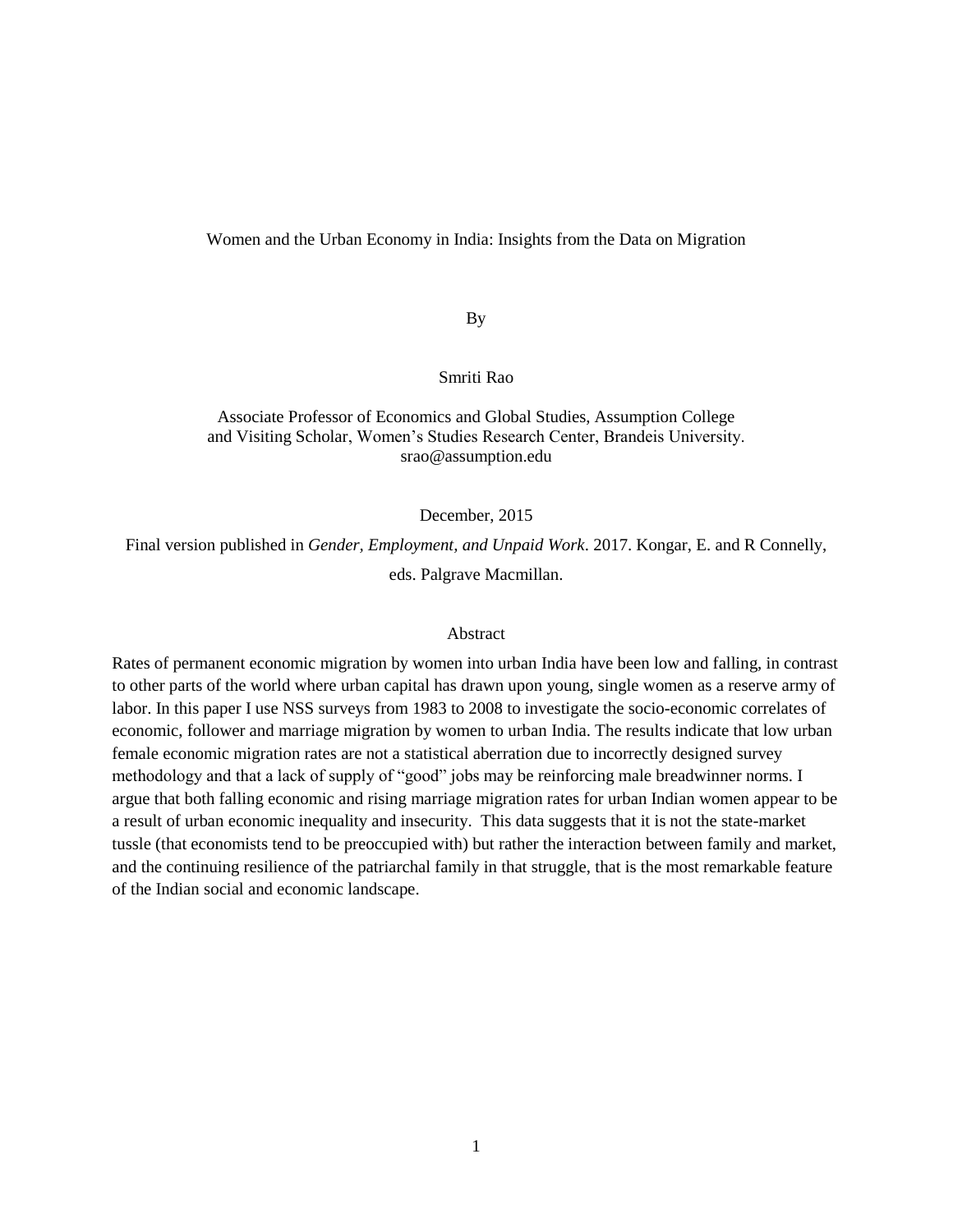## Women and the Urban Economy in India: Insights from the Data on Migration

By

## Smriti Rao

## Associate Professor of Economics and Global Studies, Assumption College and Visiting Scholar, Women's Studies Research Center, Brandeis University. srao@assumption.edu

December, 2015

Final version published in *Gender, Employment, and Unpaid Work*. 2017. Kongar, E. and R Connelly, eds. Palgrave Macmillan.

## Abstract

Rates of permanent economic migration by women into urban India have been low and falling, in contrast to other parts of the world where urban capital has drawn upon young, single women as a reserve army of labor. In this paper I use NSS surveys from 1983 to 2008 to investigate the socio-economic correlates of economic, follower and marriage migration by women to urban India. The results indicate that low urban female economic migration rates are not a statistical aberration due to incorrectly designed survey methodology and that a lack of supply of "good" jobs may be reinforcing male breadwinner norms. I argue that both falling economic and rising marriage migration rates for urban Indian women appear to be a result of urban economic inequality and insecurity. This data suggests that it is not the state-market tussle (that economists tend to be preoccupied with) but rather the interaction between family and market, and the continuing resilience of the patriarchal family in that struggle, that is the most remarkable feature of the Indian social and economic landscape.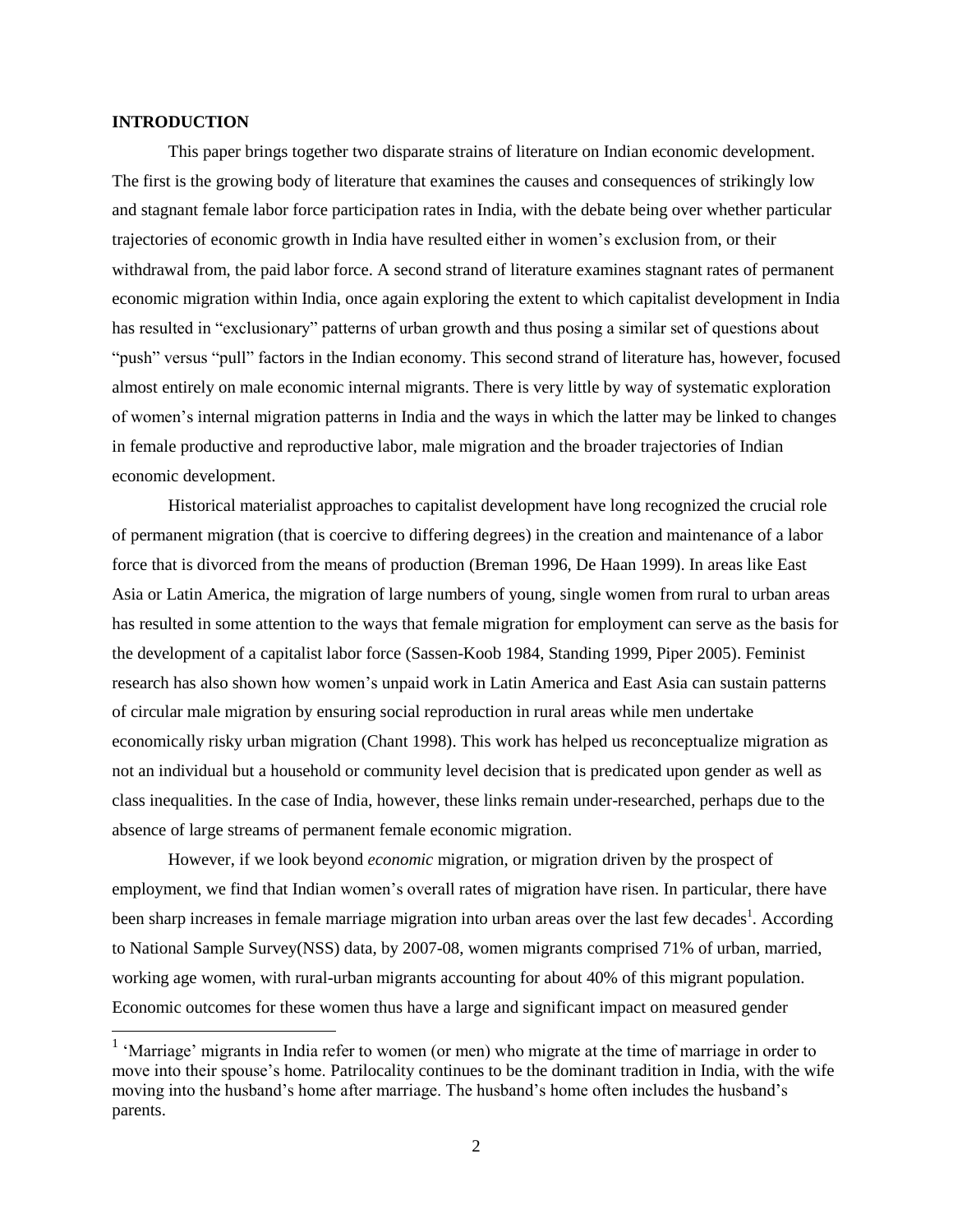#### **INTRODUCTION**

l

This paper brings together two disparate strains of literature on Indian economic development. The first is the growing body of literature that examines the causes and consequences of strikingly low and stagnant female labor force participation rates in India, with the debate being over whether particular trajectories of economic growth in India have resulted either in women's exclusion from, or their withdrawal from, the paid labor force. A second strand of literature examines stagnant rates of permanent economic migration within India, once again exploring the extent to which capitalist development in India has resulted in "exclusionary" patterns of urban growth and thus posing a similar set of questions about "push" versus "pull" factors in the Indian economy. This second strand of literature has, however, focused almost entirely on male economic internal migrants. There is very little by way of systematic exploration of women's internal migration patterns in India and the ways in which the latter may be linked to changes in female productive and reproductive labor, male migration and the broader trajectories of Indian economic development.

Historical materialist approaches to capitalist development have long recognized the crucial role of permanent migration (that is coercive to differing degrees) in the creation and maintenance of a labor force that is divorced from the means of production (Breman 1996, De Haan 1999). In areas like East Asia or Latin America, the migration of large numbers of young, single women from rural to urban areas has resulted in some attention to the ways that female migration for employment can serve as the basis for the development of a capitalist labor force (Sassen-Koob 1984, Standing 1999, Piper 2005). Feminist research has also shown how women's unpaid work in Latin America and East Asia can sustain patterns of circular male migration by ensuring social reproduction in rural areas while men undertake economically risky urban migration (Chant 1998). This work has helped us reconceptualize migration as not an individual but a household or community level decision that is predicated upon gender as well as class inequalities. In the case of India, however, these links remain under-researched, perhaps due to the absence of large streams of permanent female economic migration.

However, if we look beyond *economic* migration, or migration driven by the prospect of employment, we find that Indian women's overall rates of migration have risen. In particular, there have been sharp increases in female marriage migration into urban areas over the last few decades<sup>1</sup>. According to National Sample Survey(NSS) data, by 2007-08, women migrants comprised 71% of urban, married, working age women, with rural-urban migrants accounting for about 40% of this migrant population. Economic outcomes for these women thus have a large and significant impact on measured gender

<sup>&</sup>lt;sup>1</sup> 'Marriage' migrants in India refer to women (or men) who migrate at the time of marriage in order to move into their spouse's home. Patrilocality continues to be the dominant tradition in India, with the wife moving into the husband's home after marriage. The husband's home often includes the husband's parents.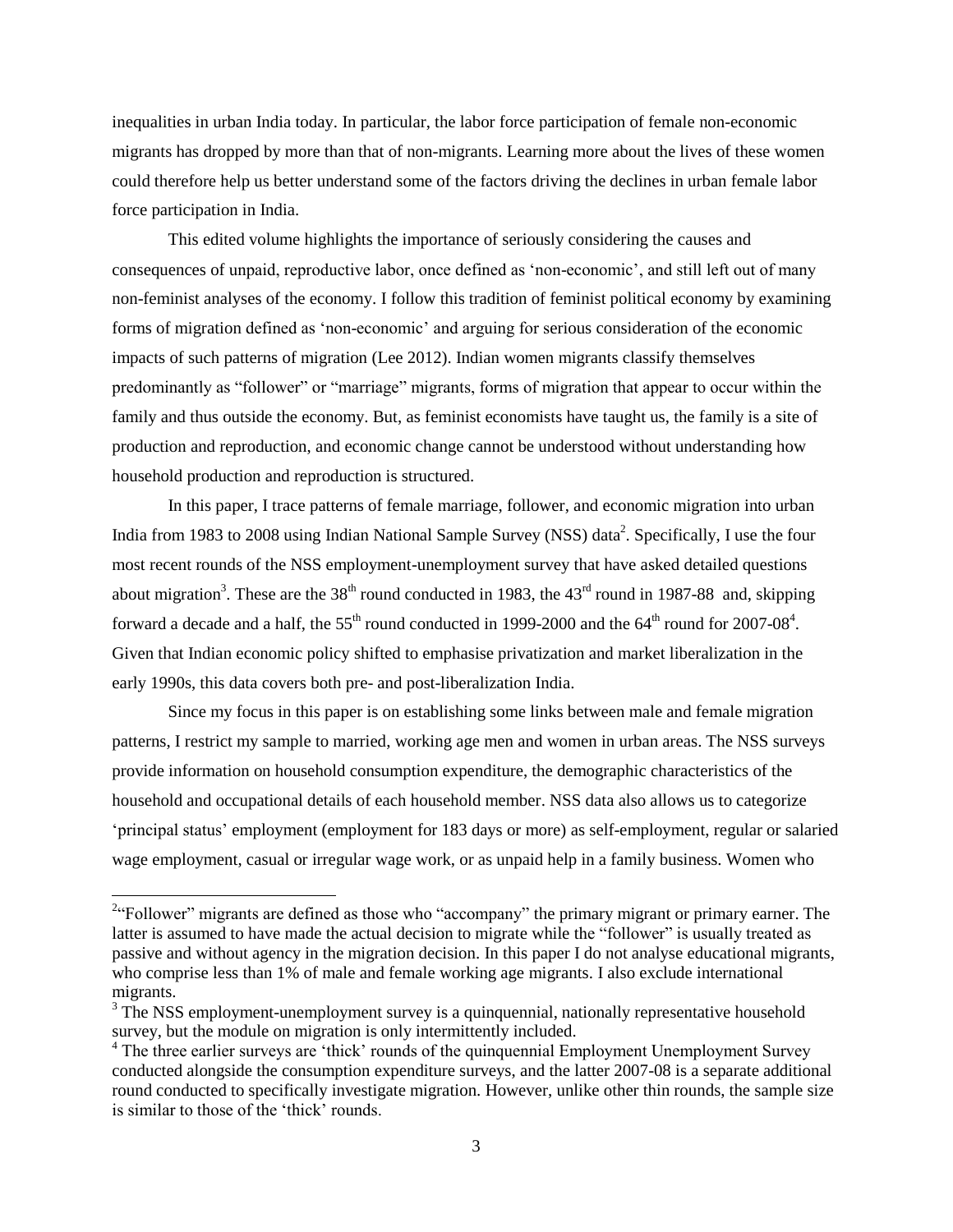inequalities in urban India today. In particular, the labor force participation of female non-economic migrants has dropped by more than that of non-migrants. Learning more about the lives of these women could therefore help us better understand some of the factors driving the declines in urban female labor force participation in India.

This edited volume highlights the importance of seriously considering the causes and consequences of unpaid, reproductive labor, once defined as 'non-economic', and still left out of many non-feminist analyses of the economy. I follow this tradition of feminist political economy by examining forms of migration defined as 'non-economic' and arguing for serious consideration of the economic impacts of such patterns of migration (Lee 2012). Indian women migrants classify themselves predominantly as "follower" or "marriage" migrants, forms of migration that appear to occur within the family and thus outside the economy. But, as feminist economists have taught us, the family is a site of production and reproduction, and economic change cannot be understood without understanding how household production and reproduction is structured.

In this paper, I trace patterns of female marriage, follower, and economic migration into urban India from 1983 to 2008 using Indian National Sample Survey (NSS) data<sup>2</sup>. Specifically, I use the four most recent rounds of the NSS employment-unemployment survey that have asked detailed questions about migration<sup>3</sup>. These are the 38<sup>th</sup> round conducted in 1983, the 43<sup>rd</sup> round in 1987-88 and, skipping forward a decade and a half, the 55<sup>th</sup> round conducted in 1999-2000 and the 64<sup>th</sup> round for 2007-08<sup>4</sup>. Given that Indian economic policy shifted to emphasise privatization and market liberalization in the early 1990s, this data covers both pre- and post-liberalization India.

Since my focus in this paper is on establishing some links between male and female migration patterns, I restrict my sample to married, working age men and women in urban areas. The NSS surveys provide information on household consumption expenditure, the demographic characteristics of the household and occupational details of each household member. NSS data also allows us to categorize 'principal status' employment (employment for 183 days or more) as self-employment, regular or salaried wage employment, casual or irregular wage work, or as unpaid help in a family business. Women who

l

<sup>&</sup>lt;sup>2</sup>"Follower" migrants are defined as those who "accompany" the primary migrant or primary earner. The latter is assumed to have made the actual decision to migrate while the "follower" is usually treated as passive and without agency in the migration decision. In this paper I do not analyse educational migrants, who comprise less than 1% of male and female working age migrants. I also exclude international migrants.

 $3$  The NSS employment-unemployment survey is a quinquennial, nationally representative household survey, but the module on migration is only intermittently included.

<sup>&</sup>lt;sup>4</sup> The three earlier surveys are 'thick' rounds of the quinquennial Employment Unemployment Survey conducted alongside the consumption expenditure surveys, and the latter 2007-08 is a separate additional round conducted to specifically investigate migration. However, unlike other thin rounds, the sample size is similar to those of the 'thick' rounds.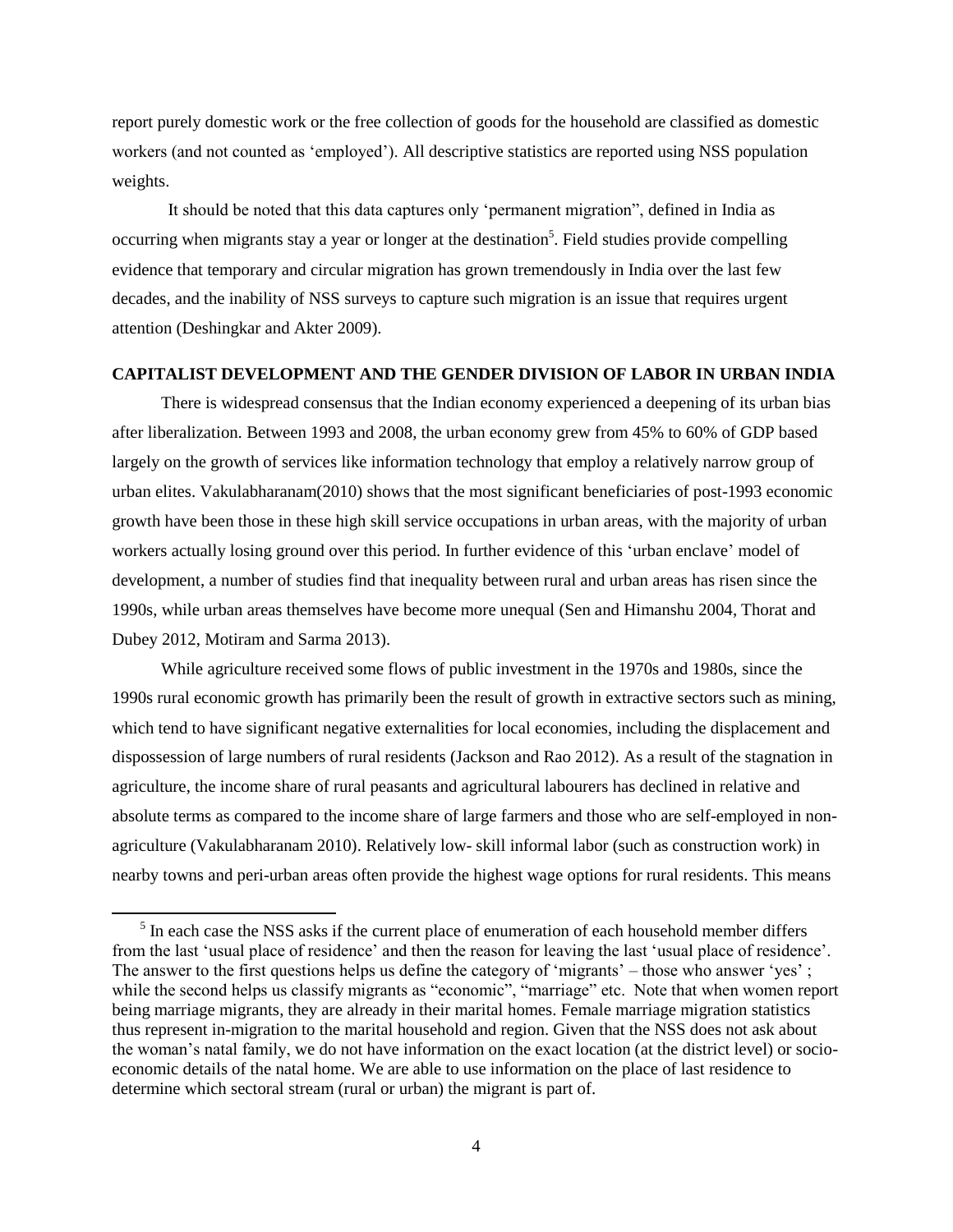report purely domestic work or the free collection of goods for the household are classified as domestic workers (and not counted as 'employed'). All descriptive statistics are reported using NSS population weights.

It should be noted that this data captures only 'permanent migration", defined in India as occurring when migrants stay a year or longer at the destination<sup>5</sup>. Field studies provide compelling evidence that temporary and circular migration has grown tremendously in India over the last few decades, and the inability of NSS surveys to capture such migration is an issue that requires urgent attention (Deshingkar and Akter 2009).

## **CAPITALIST DEVELOPMENT AND THE GENDER DIVISION OF LABOR IN URBAN INDIA**

There is widespread consensus that the Indian economy experienced a deepening of its urban bias after liberalization. Between 1993 and 2008, the urban economy grew from 45% to 60% of GDP based largely on the growth of services like information technology that employ a relatively narrow group of urban elites. Vakulabharanam(2010) shows that the most significant beneficiaries of post-1993 economic growth have been those in these high skill service occupations in urban areas, with the majority of urban workers actually losing ground over this period. In further evidence of this 'urban enclave' model of development, a number of studies find that inequality between rural and urban areas has risen since the 1990s, while urban areas themselves have become more unequal (Sen and Himanshu 2004, Thorat and Dubey 2012, Motiram and Sarma 2013).

While agriculture received some flows of public investment in the 1970s and 1980s, since the 1990s rural economic growth has primarily been the result of growth in extractive sectors such as mining, which tend to have significant negative externalities for local economies, including the displacement and dispossession of large numbers of rural residents (Jackson and Rao 2012). As a result of the stagnation in agriculture, the income share of rural peasants and agricultural labourers has declined in relative and absolute terms as compared to the income share of large farmers and those who are self-employed in nonagriculture (Vakulabharanam 2010). Relatively low- skill informal labor (such as construction work) in nearby towns and peri-urban areas often provide the highest wage options for rural residents. This means

 $\overline{\phantom{a}}$ 

<sup>&</sup>lt;sup>5</sup> In each case the NSS asks if the current place of enumeration of each household member differs from the last 'usual place of residence' and then the reason for leaving the last 'usual place of residence'. The answer to the first questions helps us define the category of 'migrants' – those who answer 'yes' ; while the second helps us classify migrants as "economic", "marriage" etc. Note that when women report being marriage migrants, they are already in their marital homes. Female marriage migration statistics thus represent in-migration to the marital household and region. Given that the NSS does not ask about the woman's natal family, we do not have information on the exact location (at the district level) or socioeconomic details of the natal home. We are able to use information on the place of last residence to determine which sectoral stream (rural or urban) the migrant is part of.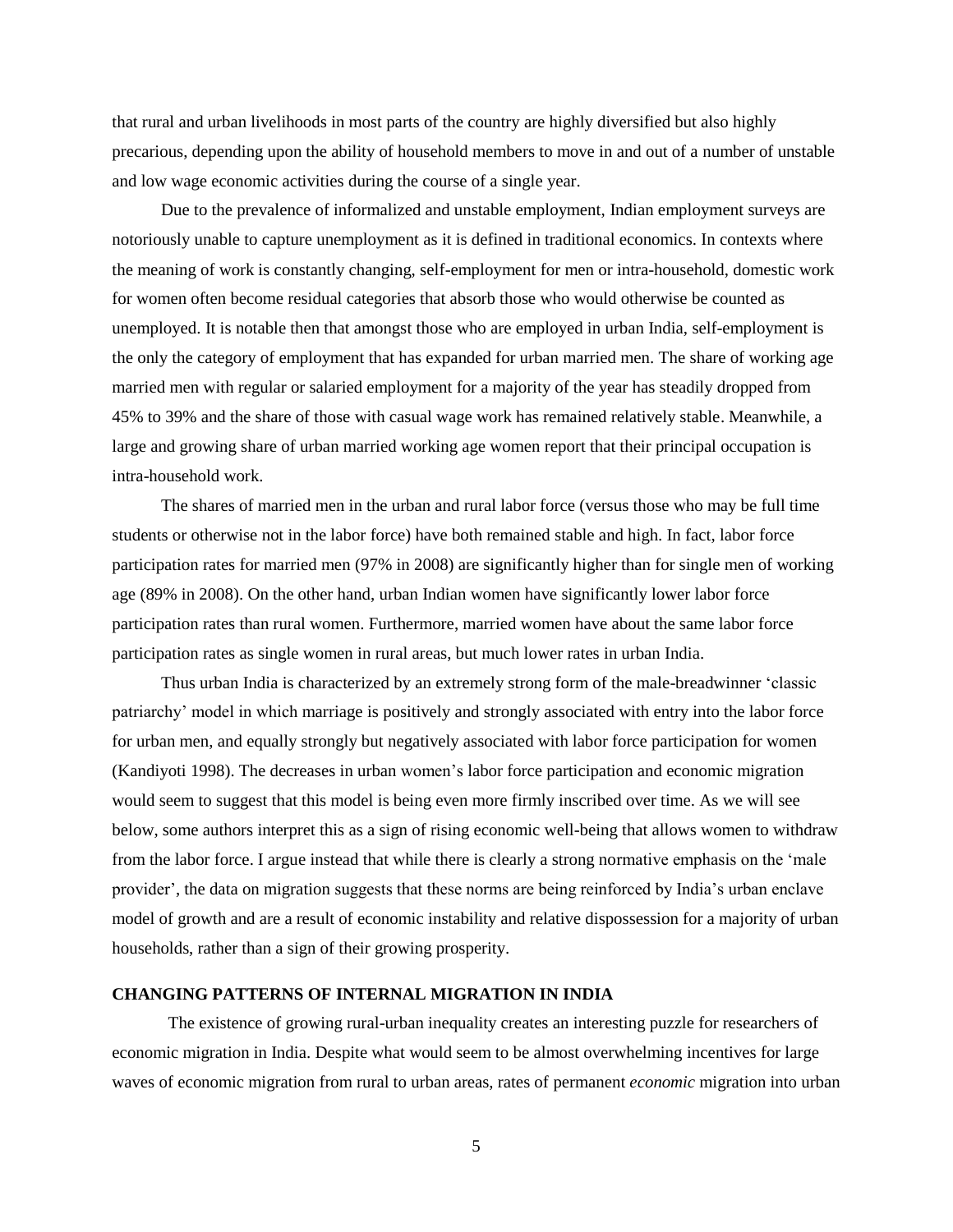that rural and urban livelihoods in most parts of the country are highly diversified but also highly precarious, depending upon the ability of household members to move in and out of a number of unstable and low wage economic activities during the course of a single year.

Due to the prevalence of informalized and unstable employment, Indian employment surveys are notoriously unable to capture unemployment as it is defined in traditional economics. In contexts where the meaning of work is constantly changing, self-employment for men or intra-household, domestic work for women often become residual categories that absorb those who would otherwise be counted as unemployed. It is notable then that amongst those who are employed in urban India, self-employment is the only the category of employment that has expanded for urban married men. The share of working age married men with regular or salaried employment for a majority of the year has steadily dropped from 45% to 39% and the share of those with casual wage work has remained relatively stable. Meanwhile, a large and growing share of urban married working age women report that their principal occupation is intra-household work.

The shares of married men in the urban and rural labor force (versus those who may be full time students or otherwise not in the labor force) have both remained stable and high. In fact, labor force participation rates for married men (97% in 2008) are significantly higher than for single men of working age (89% in 2008). On the other hand, urban Indian women have significantly lower labor force participation rates than rural women. Furthermore, married women have about the same labor force participation rates as single women in rural areas, but much lower rates in urban India.

Thus urban India is characterized by an extremely strong form of the male-breadwinner 'classic patriarchy' model in which marriage is positively and strongly associated with entry into the labor force for urban men, and equally strongly but negatively associated with labor force participation for women (Kandiyoti 1998). The decreases in urban women's labor force participation and economic migration would seem to suggest that this model is being even more firmly inscribed over time. As we will see below, some authors interpret this as a sign of rising economic well-being that allows women to withdraw from the labor force. I argue instead that while there is clearly a strong normative emphasis on the 'male provider', the data on migration suggests that these norms are being reinforced by India's urban enclave model of growth and are a result of economic instability and relative dispossession for a majority of urban households, rather than a sign of their growing prosperity.

## **CHANGING PATTERNS OF INTERNAL MIGRATION IN INDIA**

The existence of growing rural-urban inequality creates an interesting puzzle for researchers of economic migration in India. Despite what would seem to be almost overwhelming incentives for large waves of economic migration from rural to urban areas, rates of permanent *economic* migration into urban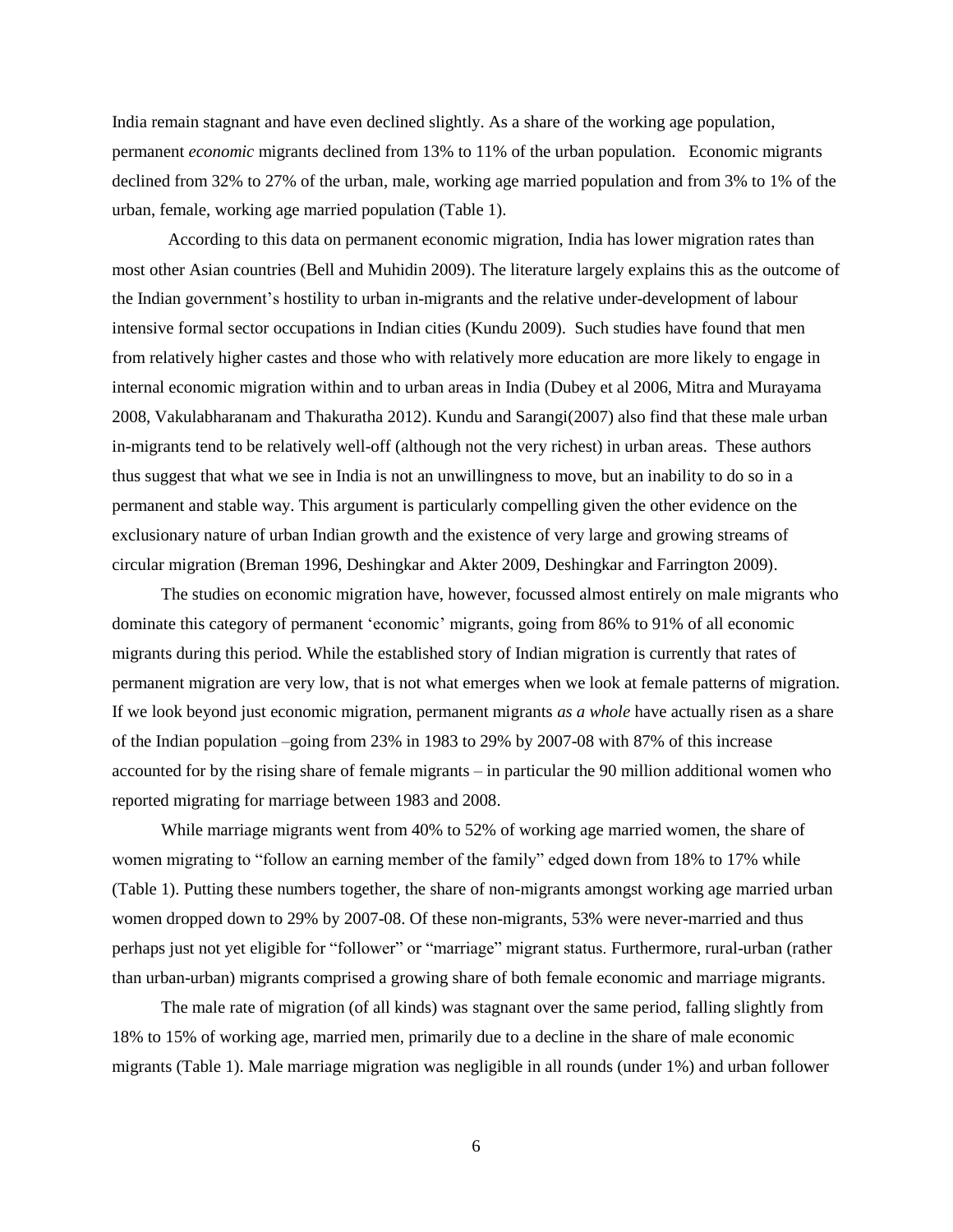India remain stagnant and have even declined slightly. As a share of the working age population, permanent *economic* migrants declined from 13% to 11% of the urban population. Economic migrants declined from 32% to 27% of the urban, male, working age married population and from 3% to 1% of the urban, female, working age married population (Table 1).

According to this data on permanent economic migration, India has lower migration rates than most other Asian countries (Bell and Muhidin 2009). The literature largely explains this as the outcome of the Indian government's hostility to urban in-migrants and the relative under-development of labour intensive formal sector occupations in Indian cities (Kundu 2009). Such studies have found that men from relatively higher castes and those who with relatively more education are more likely to engage in internal economic migration within and to urban areas in India (Dubey et al 2006, Mitra and Murayama 2008, Vakulabharanam and Thakuratha 2012). Kundu and Sarangi(2007) also find that these male urban in-migrants tend to be relatively well-off (although not the very richest) in urban areas. These authors thus suggest that what we see in India is not an unwillingness to move, but an inability to do so in a permanent and stable way. This argument is particularly compelling given the other evidence on the exclusionary nature of urban Indian growth and the existence of very large and growing streams of circular migration (Breman 1996, Deshingkar and Akter 2009, Deshingkar and Farrington 2009).

The studies on economic migration have, however, focussed almost entirely on male migrants who dominate this category of permanent 'economic' migrants, going from 86% to 91% of all economic migrants during this period. While the established story of Indian migration is currently that rates of permanent migration are very low, that is not what emerges when we look at female patterns of migration. If we look beyond just economic migration, permanent migrants *as a whole* have actually risen as a share of the Indian population –going from 23% in 1983 to 29% by 2007-08 with 87% of this increase accounted for by the rising share of female migrants – in particular the 90 million additional women who reported migrating for marriage between 1983 and 2008.

While marriage migrants went from 40% to 52% of working age married women, the share of women migrating to "follow an earning member of the family" edged down from 18% to 17% while (Table 1). Putting these numbers together, the share of non-migrants amongst working age married urban women dropped down to 29% by 2007-08. Of these non-migrants, 53% were never-married and thus perhaps just not yet eligible for "follower" or "marriage" migrant status. Furthermore, rural-urban (rather than urban-urban) migrants comprised a growing share of both female economic and marriage migrants.

The male rate of migration (of all kinds) was stagnant over the same period, falling slightly from 18% to 15% of working age, married men, primarily due to a decline in the share of male economic migrants (Table 1). Male marriage migration was negligible in all rounds (under 1%) and urban follower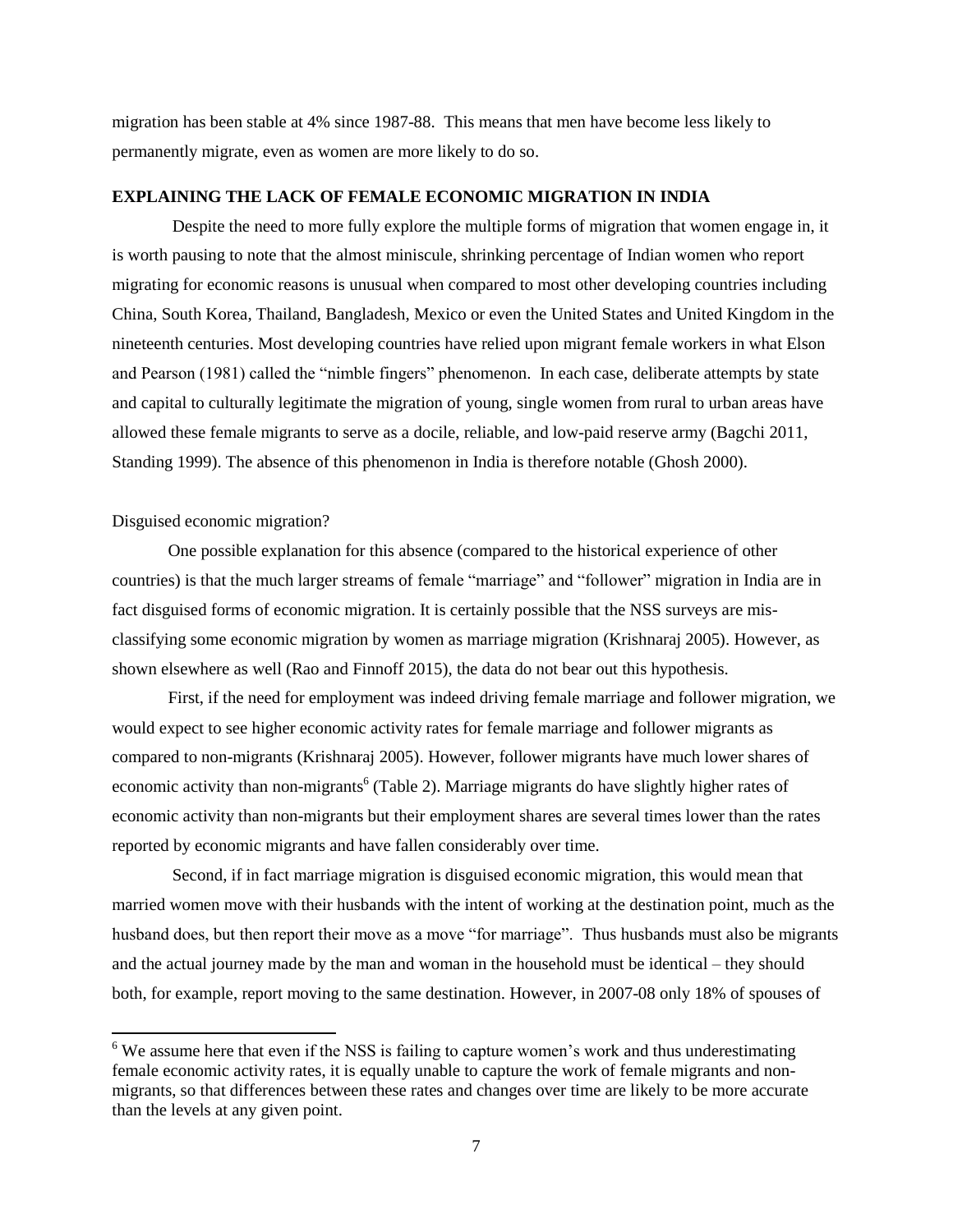migration has been stable at 4% since 1987-88. This means that men have become less likely to permanently migrate, even as women are more likely to do so.

## **EXPLAINING THE LACK OF FEMALE ECONOMIC MIGRATION IN INDIA**

Despite the need to more fully explore the multiple forms of migration that women engage in, it is worth pausing to note that the almost miniscule, shrinking percentage of Indian women who report migrating for economic reasons is unusual when compared to most other developing countries including China, South Korea, Thailand, Bangladesh, Mexico or even the United States and United Kingdom in the nineteenth centuries. Most developing countries have relied upon migrant female workers in what Elson and Pearson (1981) called the "nimble fingers" phenomenon. In each case, deliberate attempts by state and capital to culturally legitimate the migration of young, single women from rural to urban areas have allowed these female migrants to serve as a docile, reliable, and low-paid reserve army (Bagchi 2011, Standing 1999). The absence of this phenomenon in India is therefore notable (Ghosh 2000).

#### Disguised economic migration?

l

One possible explanation for this absence (compared to the historical experience of other countries) is that the much larger streams of female "marriage" and "follower" migration in India are in fact disguised forms of economic migration. It is certainly possible that the NSS surveys are misclassifying some economic migration by women as marriage migration (Krishnaraj 2005). However, as shown elsewhere as well (Rao and Finnoff 2015), the data do not bear out this hypothesis.

First, if the need for employment was indeed driving female marriage and follower migration, we would expect to see higher economic activity rates for female marriage and follower migrants as compared to non-migrants (Krishnaraj 2005). However, follower migrants have much lower shares of economic activity than non-migrants<sup>6</sup> (Table 2). Marriage migrants do have slightly higher rates of economic activity than non-migrants but their employment shares are several times lower than the rates reported by economic migrants and have fallen considerably over time.

Second, if in fact marriage migration is disguised economic migration, this would mean that married women move with their husbands with the intent of working at the destination point, much as the husband does, but then report their move as a move "for marriage". Thus husbands must also be migrants and the actual journey made by the man and woman in the household must be identical – they should both, for example, report moving to the same destination. However, in 2007-08 only 18% of spouses of

 $6$  We assume here that even if the NSS is failing to capture women's work and thus underestimating female economic activity rates, it is equally unable to capture the work of female migrants and nonmigrants, so that differences between these rates and changes over time are likely to be more accurate than the levels at any given point.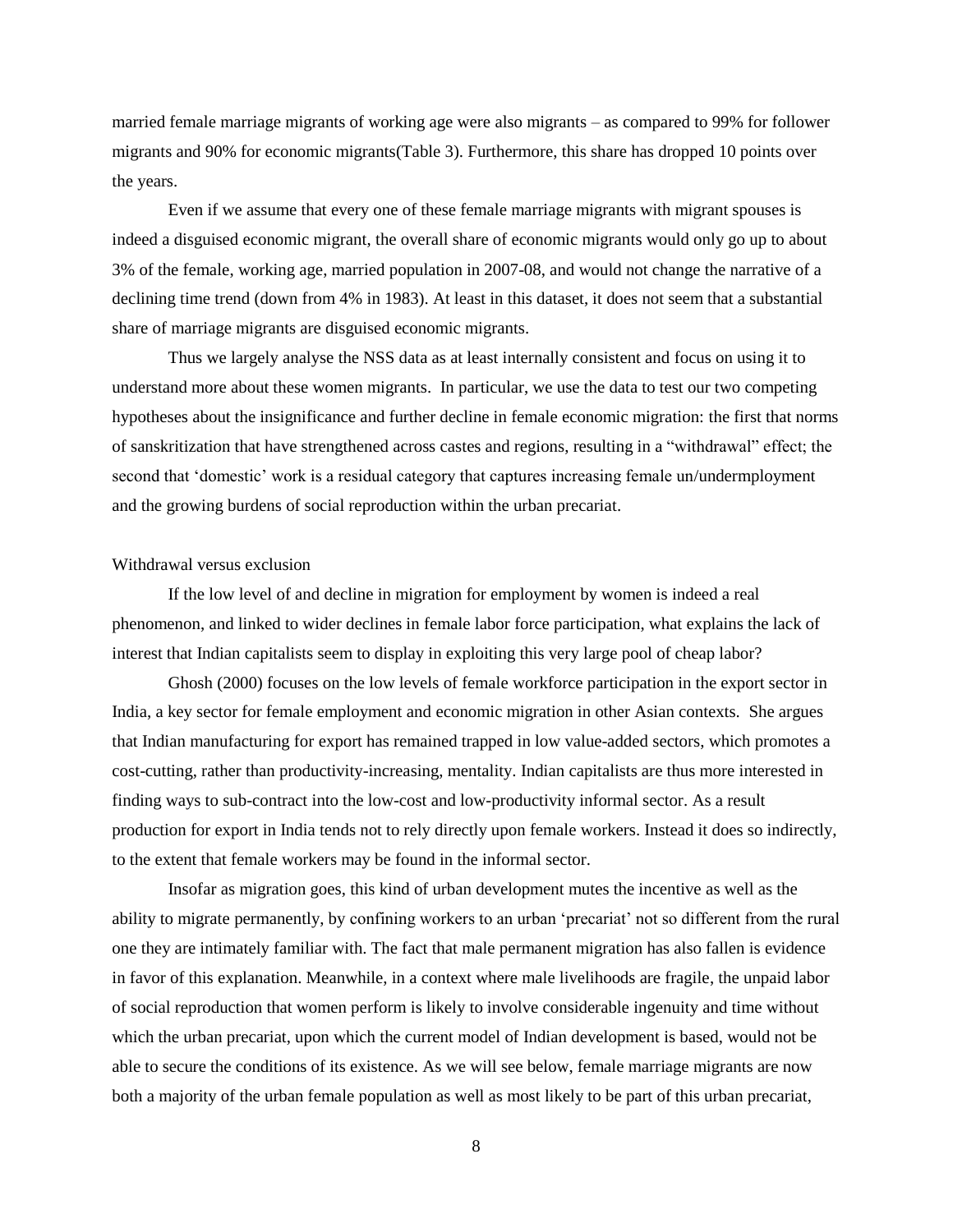married female marriage migrants of working age were also migrants – as compared to 99% for follower migrants and 90% for economic migrants(Table 3). Furthermore, this share has dropped 10 points over the years.

Even if we assume that every one of these female marriage migrants with migrant spouses is indeed a disguised economic migrant, the overall share of economic migrants would only go up to about 3% of the female, working age, married population in 2007-08, and would not change the narrative of a declining time trend (down from 4% in 1983). At least in this dataset, it does not seem that a substantial share of marriage migrants are disguised economic migrants.

Thus we largely analyse the NSS data as at least internally consistent and focus on using it to understand more about these women migrants. In particular, we use the data to test our two competing hypotheses about the insignificance and further decline in female economic migration: the first that norms of sanskritization that have strengthened across castes and regions, resulting in a "withdrawal" effect; the second that 'domestic' work is a residual category that captures increasing female un/undermployment and the growing burdens of social reproduction within the urban precariat.

## Withdrawal versus exclusion

If the low level of and decline in migration for employment by women is indeed a real phenomenon, and linked to wider declines in female labor force participation, what explains the lack of interest that Indian capitalists seem to display in exploiting this very large pool of cheap labor?

Ghosh (2000) focuses on the low levels of female workforce participation in the export sector in India, a key sector for female employment and economic migration in other Asian contexts. She argues that Indian manufacturing for export has remained trapped in low value-added sectors, which promotes a cost-cutting, rather than productivity-increasing, mentality. Indian capitalists are thus more interested in finding ways to sub-contract into the low-cost and low-productivity informal sector. As a result production for export in India tends not to rely directly upon female workers. Instead it does so indirectly, to the extent that female workers may be found in the informal sector.

Insofar as migration goes, this kind of urban development mutes the incentive as well as the ability to migrate permanently, by confining workers to an urban 'precariat' not so different from the rural one they are intimately familiar with. The fact that male permanent migration has also fallen is evidence in favor of this explanation. Meanwhile, in a context where male livelihoods are fragile, the unpaid labor of social reproduction that women perform is likely to involve considerable ingenuity and time without which the urban precariat, upon which the current model of Indian development is based, would not be able to secure the conditions of its existence. As we will see below, female marriage migrants are now both a majority of the urban female population as well as most likely to be part of this urban precariat,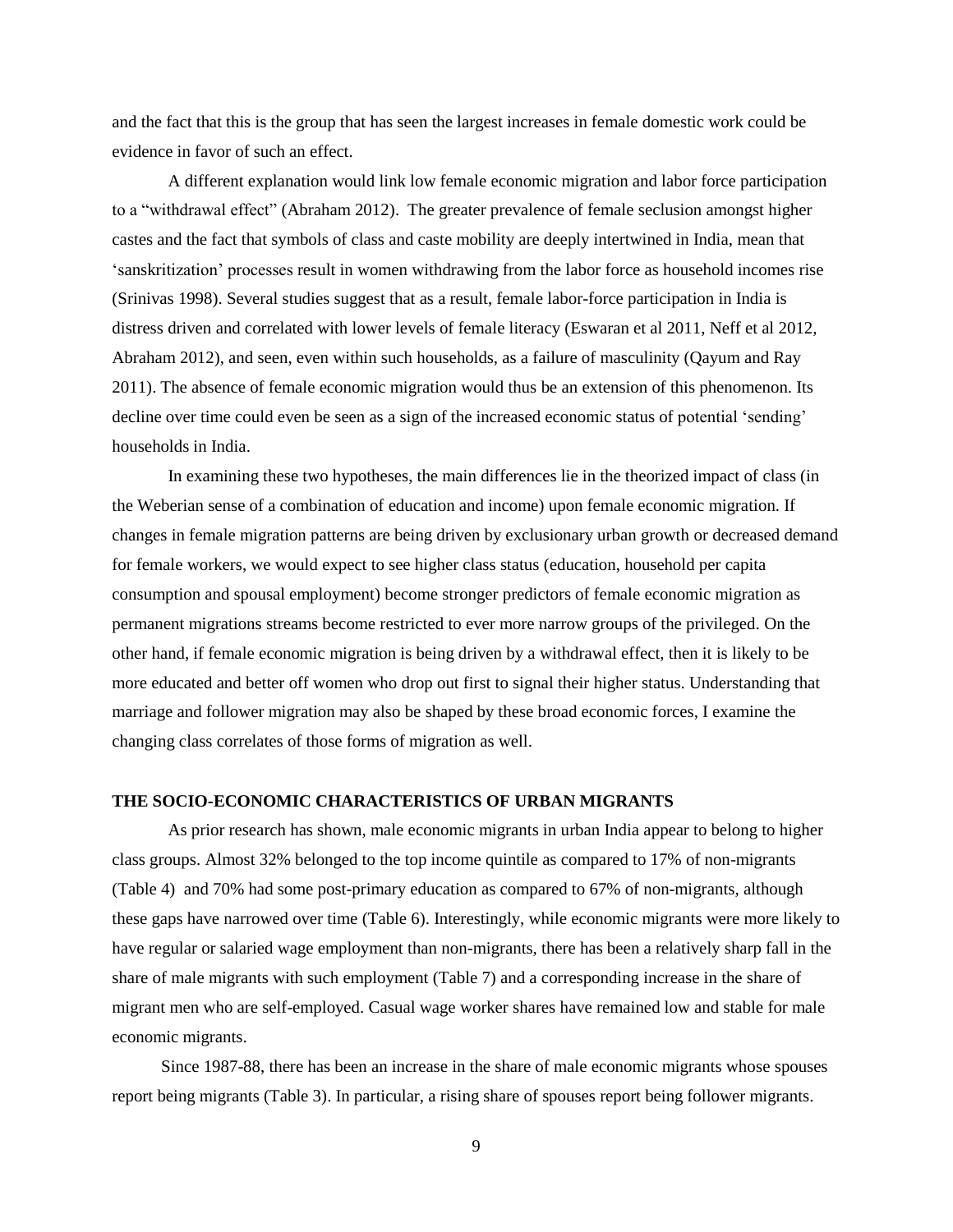and the fact that this is the group that has seen the largest increases in female domestic work could be evidence in favor of such an effect.

A different explanation would link low female economic migration and labor force participation to a "withdrawal effect" (Abraham 2012). The greater prevalence of female seclusion amongst higher castes and the fact that symbols of class and caste mobility are deeply intertwined in India, mean that 'sanskritization' processes result in women withdrawing from the labor force as household incomes rise (Srinivas 1998). Several studies suggest that as a result, female labor-force participation in India is distress driven and correlated with lower levels of female literacy (Eswaran et al 2011, Neff et al 2012, Abraham 2012), and seen, even within such households, as a failure of masculinity (Qayum and Ray 2011). The absence of female economic migration would thus be an extension of this phenomenon. Its decline over time could even be seen as a sign of the increased economic status of potential 'sending' households in India.

In examining these two hypotheses, the main differences lie in the theorized impact of class (in the Weberian sense of a combination of education and income) upon female economic migration. If changes in female migration patterns are being driven by exclusionary urban growth or decreased demand for female workers, we would expect to see higher class status (education, household per capita consumption and spousal employment) become stronger predictors of female economic migration as permanent migrations streams become restricted to ever more narrow groups of the privileged. On the other hand, if female economic migration is being driven by a withdrawal effect, then it is likely to be more educated and better off women who drop out first to signal their higher status. Understanding that marriage and follower migration may also be shaped by these broad economic forces, I examine the changing class correlates of those forms of migration as well.

#### **THE SOCIO-ECONOMIC CHARACTERISTICS OF URBAN MIGRANTS**

As prior research has shown, male economic migrants in urban India appear to belong to higher class groups. Almost 32% belonged to the top income quintile as compared to 17% of non-migrants (Table 4) and 70% had some post-primary education as compared to 67% of non-migrants, although these gaps have narrowed over time (Table 6). Interestingly, while economic migrants were more likely to have regular or salaried wage employment than non-migrants, there has been a relatively sharp fall in the share of male migrants with such employment (Table 7) and a corresponding increase in the share of migrant men who are self-employed. Casual wage worker shares have remained low and stable for male economic migrants.

Since 1987-88, there has been an increase in the share of male economic migrants whose spouses report being migrants (Table 3). In particular, a rising share of spouses report being follower migrants.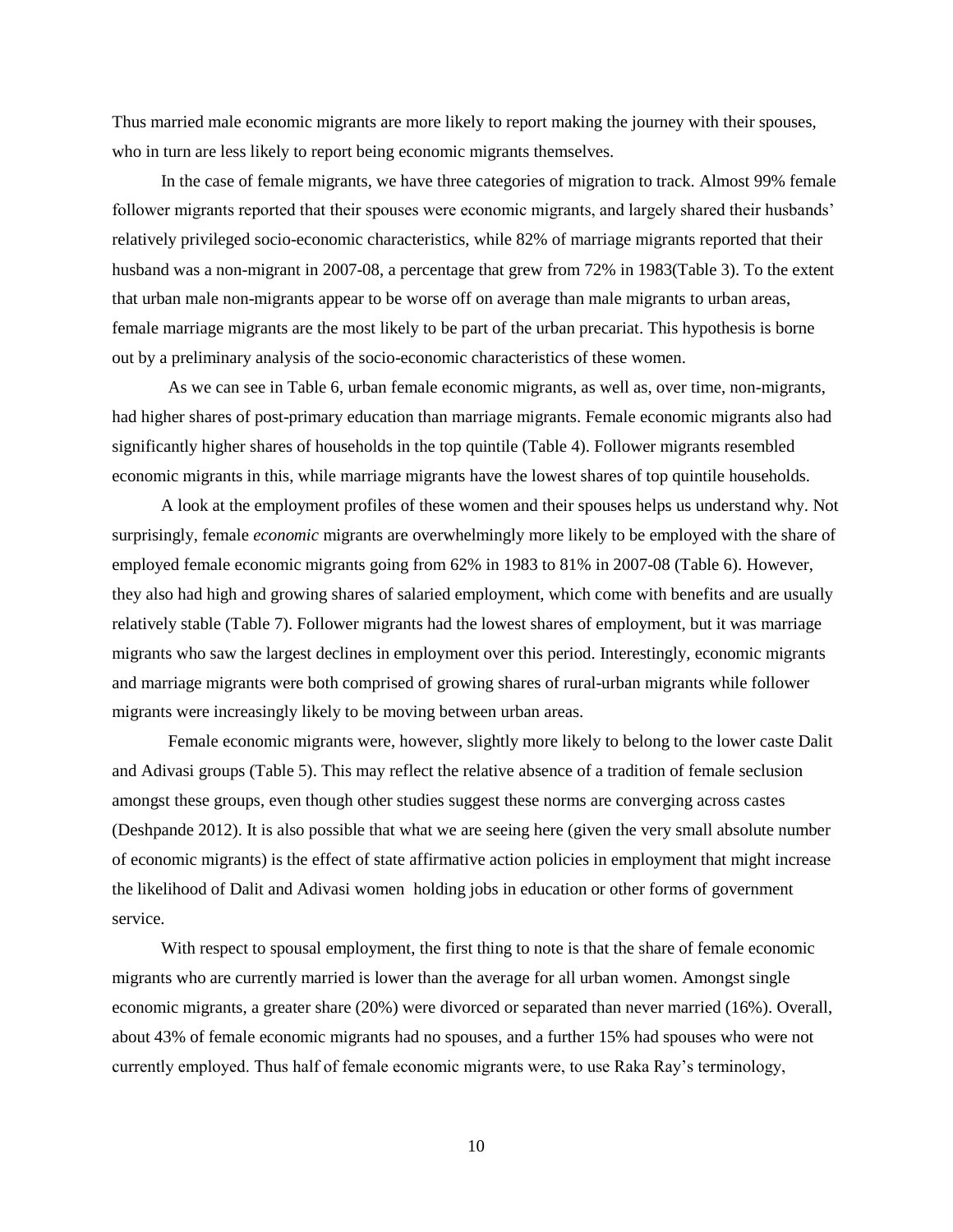Thus married male economic migrants are more likely to report making the journey with their spouses, who in turn are less likely to report being economic migrants themselves.

In the case of female migrants, we have three categories of migration to track. Almost 99% female follower migrants reported that their spouses were economic migrants, and largely shared their husbands' relatively privileged socio-economic characteristics, while 82% of marriage migrants reported that their husband was a non-migrant in 2007-08, a percentage that grew from 72% in 1983(Table 3). To the extent that urban male non-migrants appear to be worse off on average than male migrants to urban areas, female marriage migrants are the most likely to be part of the urban precariat. This hypothesis is borne out by a preliminary analysis of the socio-economic characteristics of these women.

As we can see in Table 6, urban female economic migrants, as well as, over time, non-migrants, had higher shares of post-primary education than marriage migrants. Female economic migrants also had significantly higher shares of households in the top quintile (Table 4). Follower migrants resembled economic migrants in this, while marriage migrants have the lowest shares of top quintile households.

A look at the employment profiles of these women and their spouses helps us understand why. Not surprisingly, female *economic* migrants are overwhelmingly more likely to be employed with the share of employed female economic migrants going from 62% in 1983 to 81% in 2007-08 (Table 6). However, they also had high and growing shares of salaried employment, which come with benefits and are usually relatively stable (Table 7). Follower migrants had the lowest shares of employment, but it was marriage migrants who saw the largest declines in employment over this period. Interestingly, economic migrants and marriage migrants were both comprised of growing shares of rural-urban migrants while follower migrants were increasingly likely to be moving between urban areas.

Female economic migrants were, however, slightly more likely to belong to the lower caste Dalit and Adivasi groups (Table 5). This may reflect the relative absence of a tradition of female seclusion amongst these groups, even though other studies suggest these norms are converging across castes (Deshpande 2012). It is also possible that what we are seeing here (given the very small absolute number of economic migrants) is the effect of state affirmative action policies in employment that might increase the likelihood of Dalit and Adivasi women holding jobs in education or other forms of government service.

With respect to spousal employment, the first thing to note is that the share of female economic migrants who are currently married is lower than the average for all urban women. Amongst single economic migrants, a greater share (20%) were divorced or separated than never married (16%). Overall, about 43% of female economic migrants had no spouses, and a further 15% had spouses who were not currently employed. Thus half of female economic migrants were, to use Raka Ray's terminology,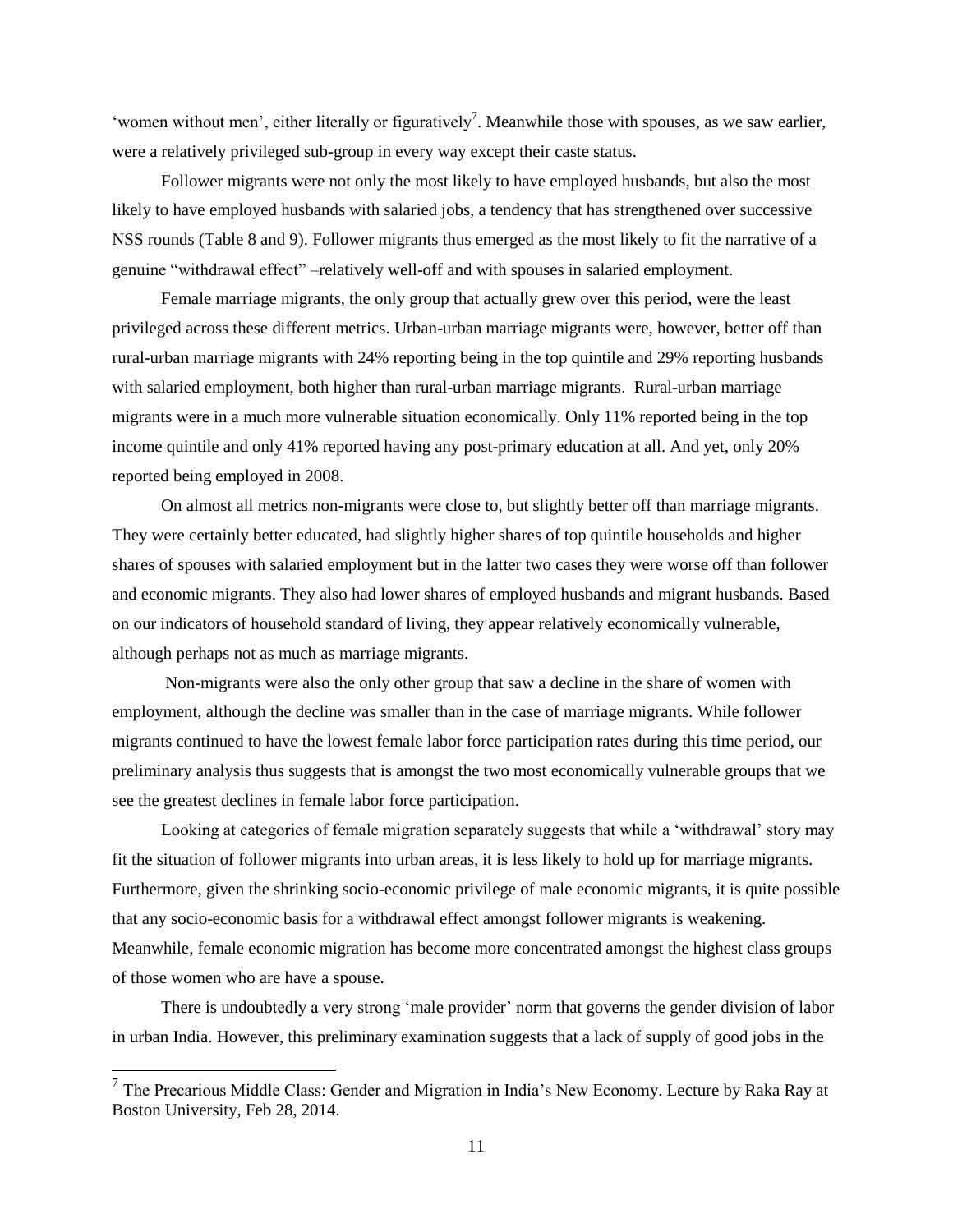'women without men', either literally or figuratively<sup>7</sup>. Meanwhile those with spouses, as we saw earlier, were a relatively privileged sub-group in every way except their caste status.

Follower migrants were not only the most likely to have employed husbands, but also the most likely to have employed husbands with salaried jobs, a tendency that has strengthened over successive NSS rounds (Table 8 and 9). Follower migrants thus emerged as the most likely to fit the narrative of a genuine "withdrawal effect" –relatively well-off and with spouses in salaried employment.

Female marriage migrants, the only group that actually grew over this period, were the least privileged across these different metrics. Urban-urban marriage migrants were, however, better off than rural-urban marriage migrants with 24% reporting being in the top quintile and 29% reporting husbands with salaried employment, both higher than rural-urban marriage migrants. Rural-urban marriage migrants were in a much more vulnerable situation economically. Only 11% reported being in the top income quintile and only 41% reported having any post-primary education at all. And yet, only 20% reported being employed in 2008.

On almost all metrics non-migrants were close to, but slightly better off than marriage migrants. They were certainly better educated, had slightly higher shares of top quintile households and higher shares of spouses with salaried employment but in the latter two cases they were worse off than follower and economic migrants. They also had lower shares of employed husbands and migrant husbands. Based on our indicators of household standard of living, they appear relatively economically vulnerable, although perhaps not as much as marriage migrants.

Non-migrants were also the only other group that saw a decline in the share of women with employment, although the decline was smaller than in the case of marriage migrants. While follower migrants continued to have the lowest female labor force participation rates during this time period, our preliminary analysis thus suggests that is amongst the two most economically vulnerable groups that we see the greatest declines in female labor force participation.

Looking at categories of female migration separately suggests that while a 'withdrawal' story may fit the situation of follower migrants into urban areas, it is less likely to hold up for marriage migrants. Furthermore, given the shrinking socio-economic privilege of male economic migrants, it is quite possible that any socio-economic basis for a withdrawal effect amongst follower migrants is weakening. Meanwhile, female economic migration has become more concentrated amongst the highest class groups of those women who are have a spouse.

There is undoubtedly a very strong 'male provider' norm that governs the gender division of labor in urban India. However, this preliminary examination suggests that a lack of supply of good jobs in the

<sup>&</sup>lt;sup>7</sup> The Precarious Middle Class: Gender and Migration in India's New Economy. Lecture by Raka Ray at Boston University, Feb 28, 2014.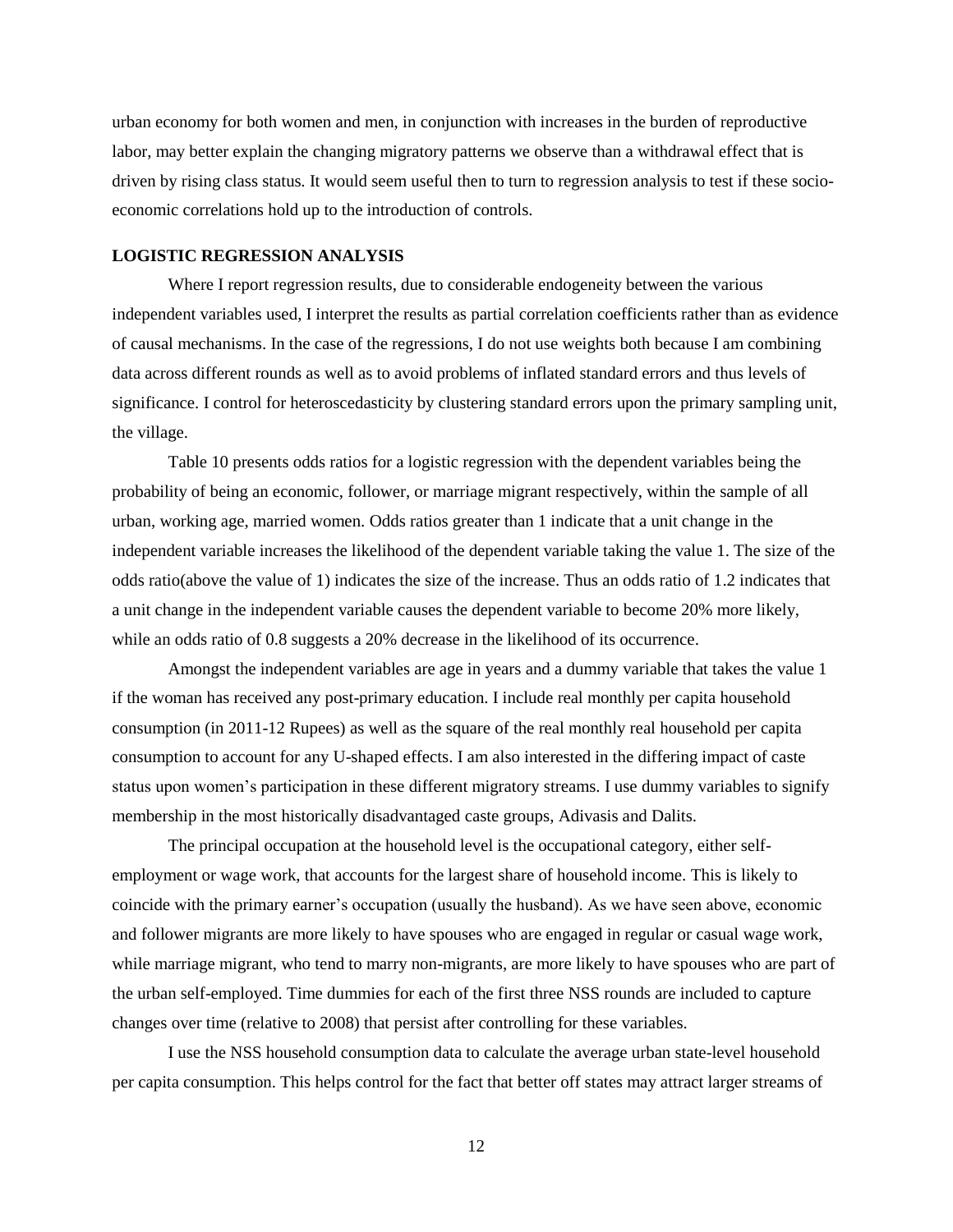urban economy for both women and men, in conjunction with increases in the burden of reproductive labor, may better explain the changing migratory patterns we observe than a withdrawal effect that is driven by rising class status. It would seem useful then to turn to regression analysis to test if these socioeconomic correlations hold up to the introduction of controls.

## **LOGISTIC REGRESSION ANALYSIS**

Where I report regression results, due to considerable endogeneity between the various independent variables used, I interpret the results as partial correlation coefficients rather than as evidence of causal mechanisms. In the case of the regressions, I do not use weights both because I am combining data across different rounds as well as to avoid problems of inflated standard errors and thus levels of significance. I control for heteroscedasticity by clustering standard errors upon the primary sampling unit, the village.

Table 10 presents odds ratios for a logistic regression with the dependent variables being the probability of being an economic, follower, or marriage migrant respectively, within the sample of all urban, working age, married women. Odds ratios greater than 1 indicate that a unit change in the independent variable increases the likelihood of the dependent variable taking the value 1. The size of the odds ratio(above the value of 1) indicates the size of the increase. Thus an odds ratio of 1.2 indicates that a unit change in the independent variable causes the dependent variable to become 20% more likely, while an odds ratio of 0.8 suggests a 20% decrease in the likelihood of its occurrence.

Amongst the independent variables are age in years and a dummy variable that takes the value 1 if the woman has received any post-primary education. I include real monthly per capita household consumption (in 2011-12 Rupees) as well as the square of the real monthly real household per capita consumption to account for any U-shaped effects. I am also interested in the differing impact of caste status upon women's participation in these different migratory streams. I use dummy variables to signify membership in the most historically disadvantaged caste groups, Adivasis and Dalits.

The principal occupation at the household level is the occupational category, either selfemployment or wage work, that accounts for the largest share of household income. This is likely to coincide with the primary earner's occupation (usually the husband). As we have seen above, economic and follower migrants are more likely to have spouses who are engaged in regular or casual wage work, while marriage migrant, who tend to marry non-migrants, are more likely to have spouses who are part of the urban self-employed. Time dummies for each of the first three NSS rounds are included to capture changes over time (relative to 2008) that persist after controlling for these variables.

I use the NSS household consumption data to calculate the average urban state-level household per capita consumption. This helps control for the fact that better off states may attract larger streams of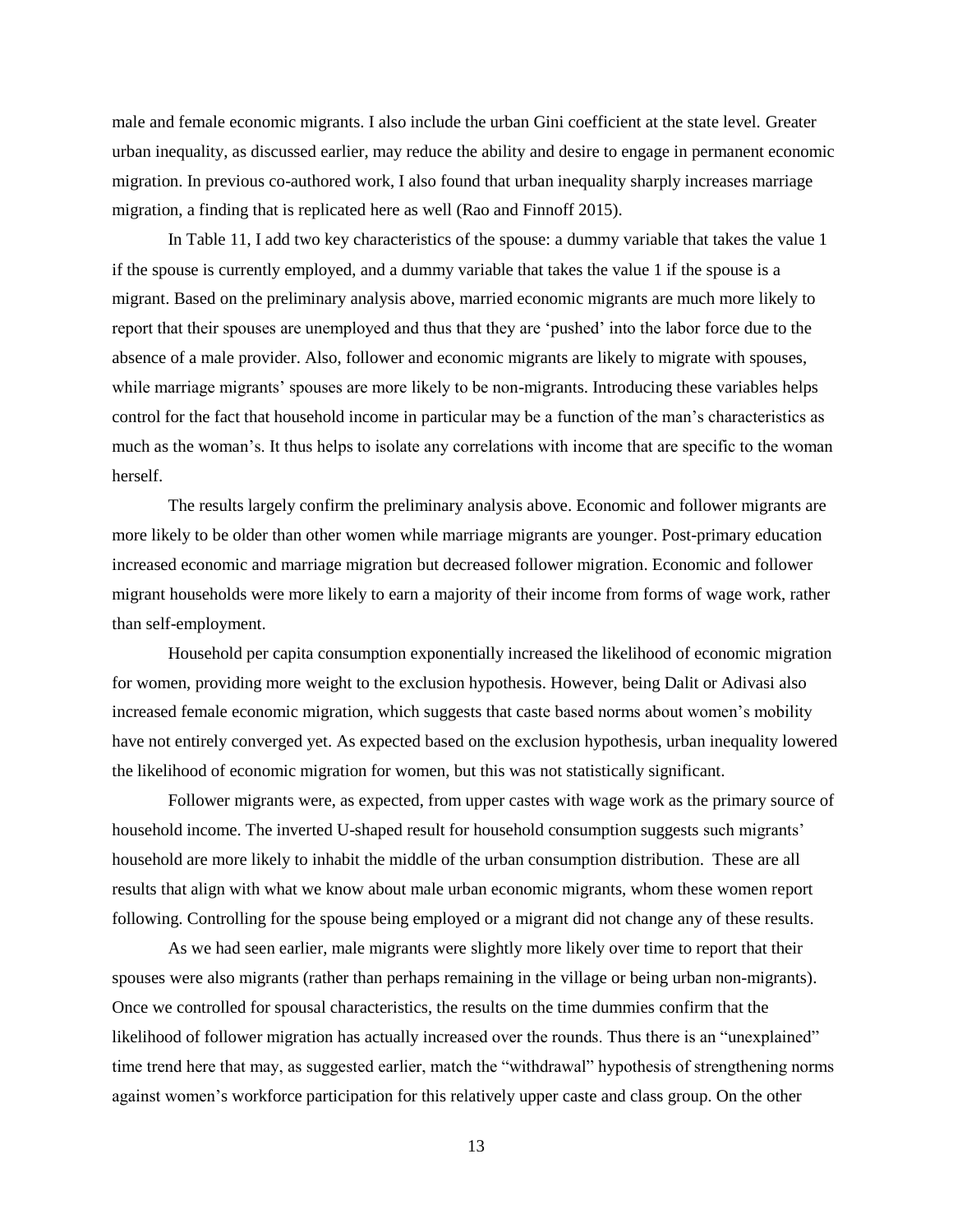male and female economic migrants. I also include the urban Gini coefficient at the state level. Greater urban inequality, as discussed earlier, may reduce the ability and desire to engage in permanent economic migration. In previous co-authored work, I also found that urban inequality sharply increases marriage migration, a finding that is replicated here as well (Rao and Finnoff 2015).

In Table 11, I add two key characteristics of the spouse: a dummy variable that takes the value 1 if the spouse is currently employed, and a dummy variable that takes the value 1 if the spouse is a migrant. Based on the preliminary analysis above, married economic migrants are much more likely to report that their spouses are unemployed and thus that they are 'pushed' into the labor force due to the absence of a male provider. Also, follower and economic migrants are likely to migrate with spouses, while marriage migrants' spouses are more likely to be non-migrants. Introducing these variables helps control for the fact that household income in particular may be a function of the man's characteristics as much as the woman's. It thus helps to isolate any correlations with income that are specific to the woman herself.

The results largely confirm the preliminary analysis above. Economic and follower migrants are more likely to be older than other women while marriage migrants are younger. Post-primary education increased economic and marriage migration but decreased follower migration. Economic and follower migrant households were more likely to earn a majority of their income from forms of wage work, rather than self-employment.

Household per capita consumption exponentially increased the likelihood of economic migration for women, providing more weight to the exclusion hypothesis. However, being Dalit or Adivasi also increased female economic migration, which suggests that caste based norms about women's mobility have not entirely converged yet. As expected based on the exclusion hypothesis, urban inequality lowered the likelihood of economic migration for women, but this was not statistically significant.

Follower migrants were, as expected, from upper castes with wage work as the primary source of household income. The inverted U-shaped result for household consumption suggests such migrants' household are more likely to inhabit the middle of the urban consumption distribution. These are all results that align with what we know about male urban economic migrants, whom these women report following. Controlling for the spouse being employed or a migrant did not change any of these results.

As we had seen earlier, male migrants were slightly more likely over time to report that their spouses were also migrants (rather than perhaps remaining in the village or being urban non-migrants). Once we controlled for spousal characteristics, the results on the time dummies confirm that the likelihood of follower migration has actually increased over the rounds. Thus there is an "unexplained" time trend here that may, as suggested earlier, match the "withdrawal" hypothesis of strengthening norms against women's workforce participation for this relatively upper caste and class group. On the other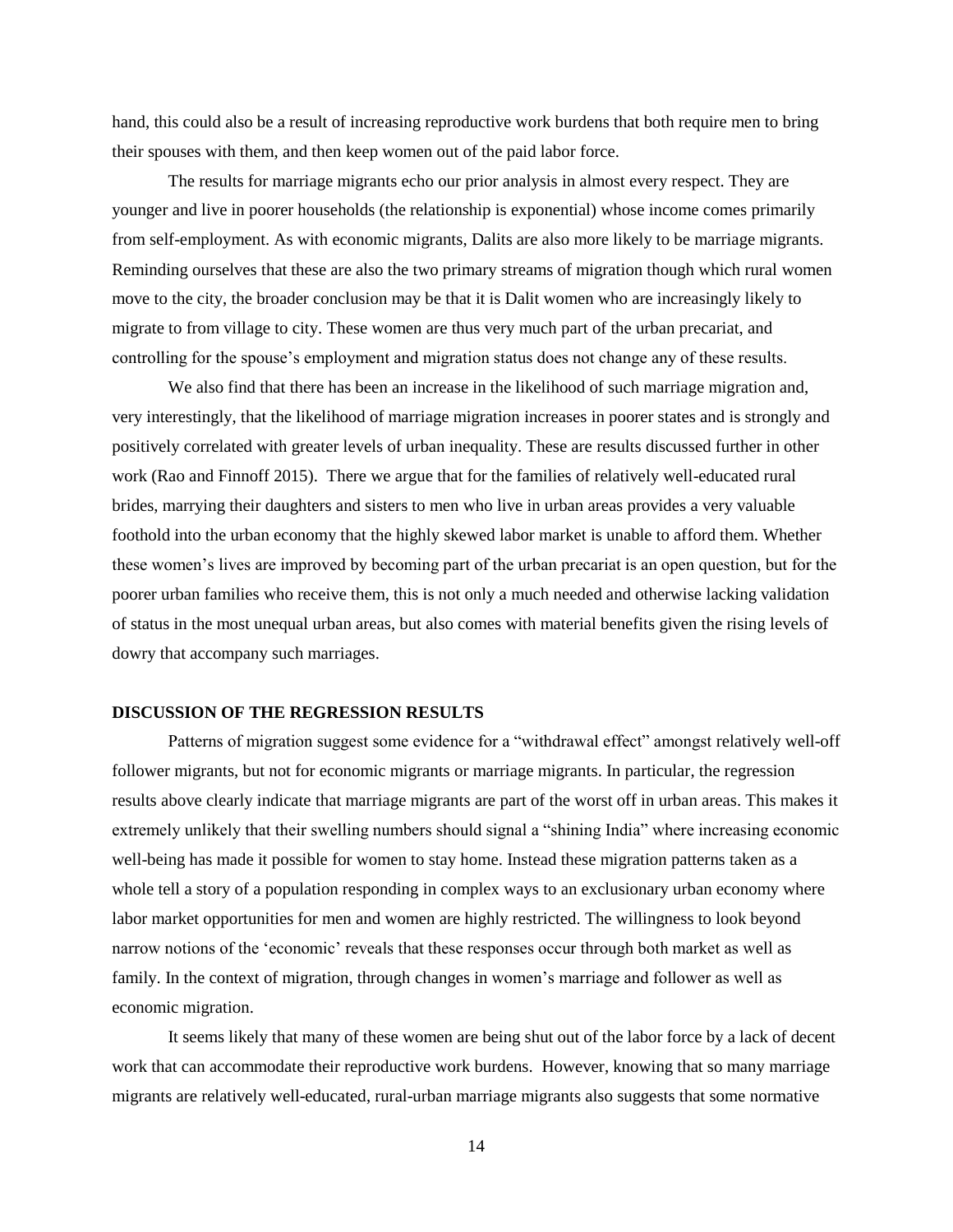hand, this could also be a result of increasing reproductive work burdens that both require men to bring their spouses with them, and then keep women out of the paid labor force.

The results for marriage migrants echo our prior analysis in almost every respect. They are younger and live in poorer households (the relationship is exponential) whose income comes primarily from self-employment. As with economic migrants, Dalits are also more likely to be marriage migrants. Reminding ourselves that these are also the two primary streams of migration though which rural women move to the city, the broader conclusion may be that it is Dalit women who are increasingly likely to migrate to from village to city. These women are thus very much part of the urban precariat, and controlling for the spouse's employment and migration status does not change any of these results.

We also find that there has been an increase in the likelihood of such marriage migration and, very interestingly, that the likelihood of marriage migration increases in poorer states and is strongly and positively correlated with greater levels of urban inequality. These are results discussed further in other work (Rao and Finnoff 2015). There we argue that for the families of relatively well-educated rural brides, marrying their daughters and sisters to men who live in urban areas provides a very valuable foothold into the urban economy that the highly skewed labor market is unable to afford them. Whether these women's lives are improved by becoming part of the urban precariat is an open question, but for the poorer urban families who receive them, this is not only a much needed and otherwise lacking validation of status in the most unequal urban areas, but also comes with material benefits given the rising levels of dowry that accompany such marriages.

## **DISCUSSION OF THE REGRESSION RESULTS**

Patterns of migration suggest some evidence for a "withdrawal effect" amongst relatively well-off follower migrants, but not for economic migrants or marriage migrants. In particular, the regression results above clearly indicate that marriage migrants are part of the worst off in urban areas. This makes it extremely unlikely that their swelling numbers should signal a "shining India" where increasing economic well-being has made it possible for women to stay home. Instead these migration patterns taken as a whole tell a story of a population responding in complex ways to an exclusionary urban economy where labor market opportunities for men and women are highly restricted. The willingness to look beyond narrow notions of the 'economic' reveals that these responses occur through both market as well as family. In the context of migration, through changes in women's marriage and follower as well as economic migration.

It seems likely that many of these women are being shut out of the labor force by a lack of decent work that can accommodate their reproductive work burdens. However, knowing that so many marriage migrants are relatively well-educated, rural-urban marriage migrants also suggests that some normative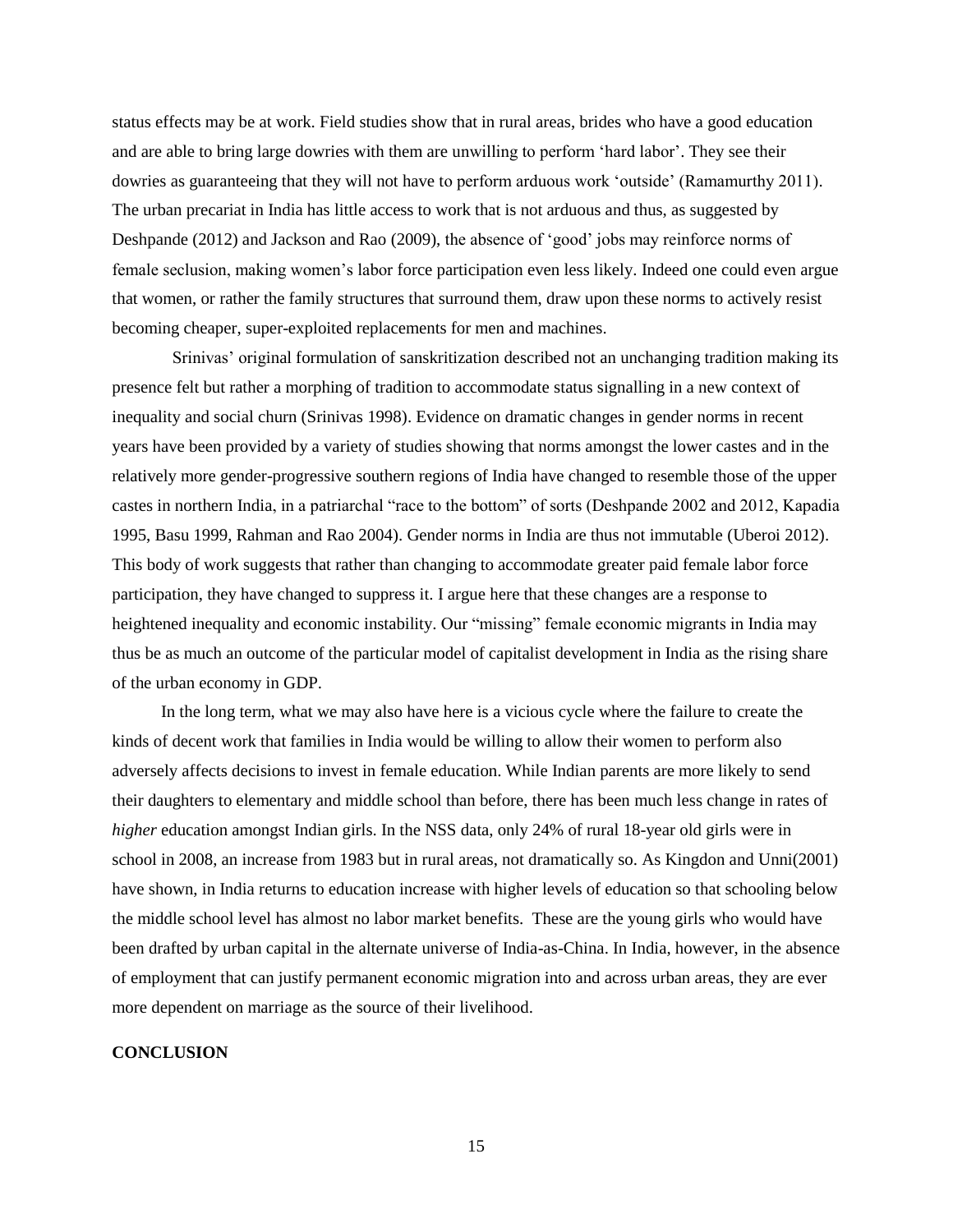status effects may be at work. Field studies show that in rural areas, brides who have a good education and are able to bring large dowries with them are unwilling to perform 'hard labor'. They see their dowries as guaranteeing that they will not have to perform arduous work 'outside' (Ramamurthy 2011). The urban precariat in India has little access to work that is not arduous and thus, as suggested by Deshpande (2012) and Jackson and Rao (2009), the absence of 'good' jobs may reinforce norms of female seclusion, making women's labor force participation even less likely. Indeed one could even argue that women, or rather the family structures that surround them, draw upon these norms to actively resist becoming cheaper, super-exploited replacements for men and machines.

Srinivas' original formulation of sanskritization described not an unchanging tradition making its presence felt but rather a morphing of tradition to accommodate status signalling in a new context of inequality and social churn (Srinivas 1998). Evidence on dramatic changes in gender norms in recent years have been provided by a variety of studies showing that norms amongst the lower castes and in the relatively more gender-progressive southern regions of India have changed to resemble those of the upper castes in northern India, in a patriarchal "race to the bottom" of sorts (Deshpande 2002 and 2012, Kapadia 1995, Basu 1999, Rahman and Rao 2004). Gender norms in India are thus not immutable (Uberoi 2012). This body of work suggests that rather than changing to accommodate greater paid female labor force participation, they have changed to suppress it. I argue here that these changes are a response to heightened inequality and economic instability. Our "missing" female economic migrants in India may thus be as much an outcome of the particular model of capitalist development in India as the rising share of the urban economy in GDP.

In the long term, what we may also have here is a vicious cycle where the failure to create the kinds of decent work that families in India would be willing to allow their women to perform also adversely affects decisions to invest in female education. While Indian parents are more likely to send their daughters to elementary and middle school than before, there has been much less change in rates of *higher* education amongst Indian girls. In the NSS data, only 24% of rural 18-year old girls were in school in 2008, an increase from 1983 but in rural areas, not dramatically so. As Kingdon and Unni(2001) have shown, in India returns to education increase with higher levels of education so that schooling below the middle school level has almost no labor market benefits. These are the young girls who would have been drafted by urban capital in the alternate universe of India-as-China. In India, however, in the absence of employment that can justify permanent economic migration into and across urban areas, they are ever more dependent on marriage as the source of their livelihood.

## **CONCLUSION**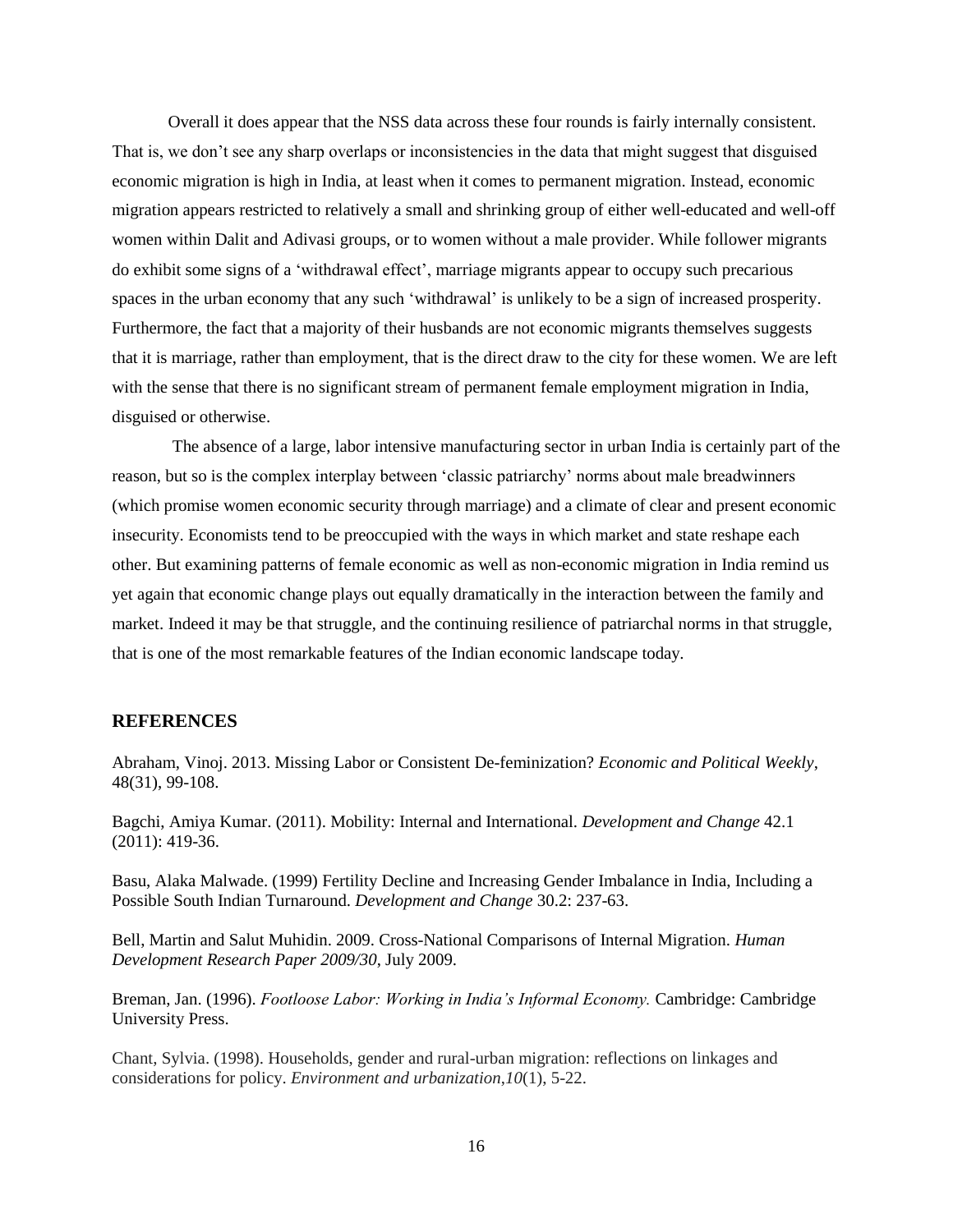Overall it does appear that the NSS data across these four rounds is fairly internally consistent. That is, we don't see any sharp overlaps or inconsistencies in the data that might suggest that disguised economic migration is high in India, at least when it comes to permanent migration. Instead, economic migration appears restricted to relatively a small and shrinking group of either well-educated and well-off women within Dalit and Adivasi groups, or to women without a male provider. While follower migrants do exhibit some signs of a 'withdrawal effect', marriage migrants appear to occupy such precarious spaces in the urban economy that any such 'withdrawal' is unlikely to be a sign of increased prosperity. Furthermore, the fact that a majority of their husbands are not economic migrants themselves suggests that it is marriage, rather than employment, that is the direct draw to the city for these women. We are left with the sense that there is no significant stream of permanent female employment migration in India, disguised or otherwise.

The absence of a large, labor intensive manufacturing sector in urban India is certainly part of the reason, but so is the complex interplay between 'classic patriarchy' norms about male breadwinners (which promise women economic security through marriage) and a climate of clear and present economic insecurity. Economists tend to be preoccupied with the ways in which market and state reshape each other. But examining patterns of female economic as well as non-economic migration in India remind us yet again that economic change plays out equally dramatically in the interaction between the family and market. Indeed it may be that struggle, and the continuing resilience of patriarchal norms in that struggle, that is one of the most remarkable features of the Indian economic landscape today.

## **REFERENCES**

Abraham, Vinoj. 2013. Missing Labor or Consistent De-feminization? *Economic and Political Weekly*, 48(31), 99-108.

Bagchi, Amiya Kumar. (2011). Mobility: Internal and International. *Development and Change* 42.1 (2011): 419-36.

Basu, Alaka Malwade. (1999) Fertility Decline and Increasing Gender Imbalance in India, Including a Possible South Indian Turnaround. *Development and Change* 30.2: 237-63.

Bell, Martin and Salut Muhidin. 2009. Cross-National Comparisons of Internal Migration. *Human Development Research Paper 2009/30*, July 2009.

Breman, Jan. (1996). *Footloose Labor: Working in India's Informal Economy.* Cambridge: Cambridge University Press.

Chant, Sylvia. (1998). Households, gender and rural-urban migration: reflections on linkages and considerations for policy. *Environment and urbanization*,*10*(1), 5-22.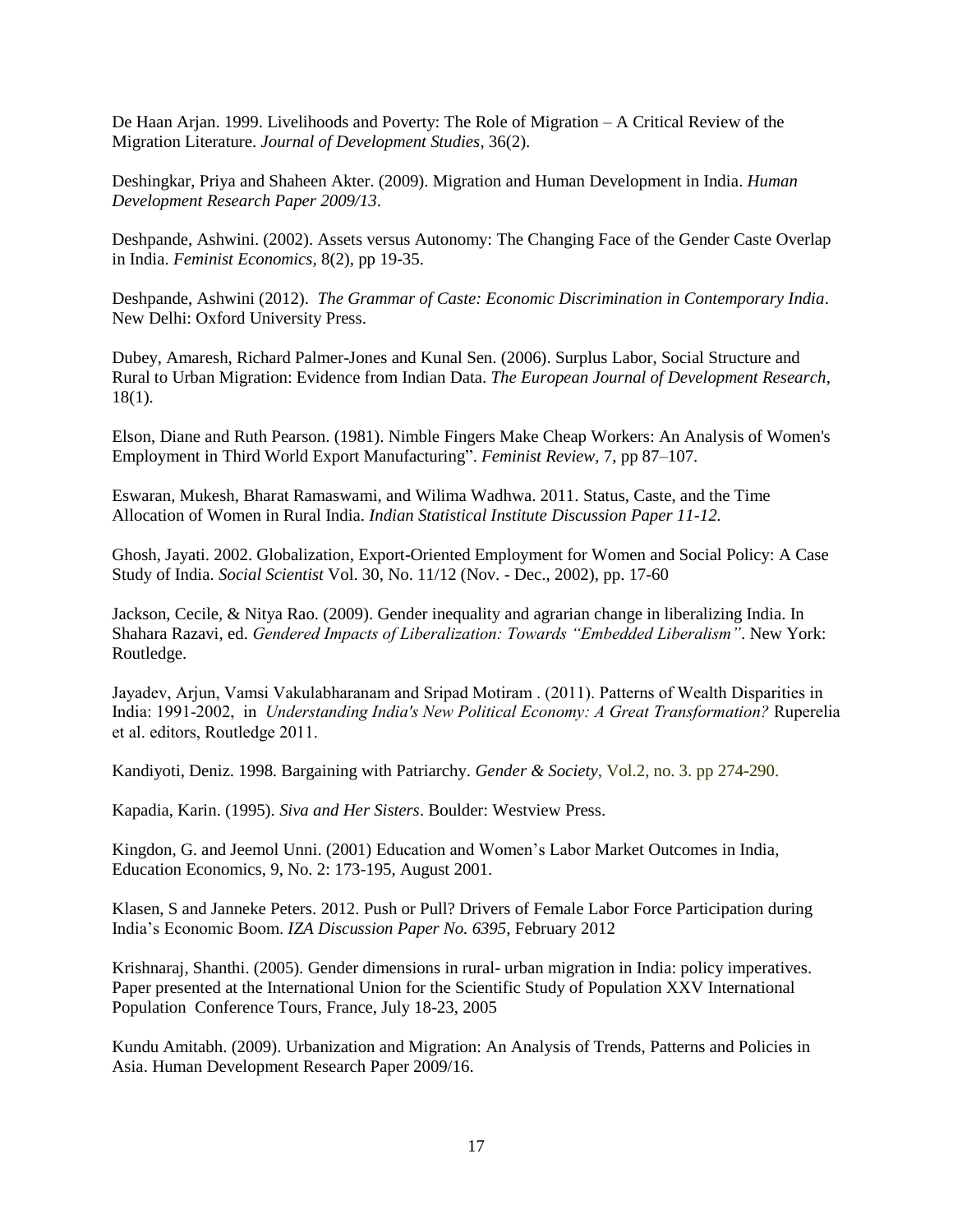De Haan Arjan. 1999. Livelihoods and Poverty: The Role of Migration – A Critical Review of the Migration Literature. *Journal of Development Studies*, 36(2).

Deshingkar, Priya and Shaheen Akter. (2009). Migration and Human Development in India. *Human Development Research Paper 2009/13*.

Deshpande, Ashwini. (2002). Assets versus Autonomy: The Changing Face of the Gender Caste Overlap in India. *Feminist Economics,* 8(2), pp 19-35.

Deshpande, Ashwini (2012). *The Grammar of Caste: Economic Discrimination in Contemporary India*. New Delhi: Oxford University Press.

Dubey, Amaresh, Richard Palmer-Jones and Kunal Sen. (2006). Surplus Labor, Social Structure and Rural to Urban Migration: Evidence from Indian Data. *The European Journal of Development Research*, 18(1).

Elson, Diane and Ruth Pearson. (1981). Nimble Fingers Make Cheap Workers: An Analysis of Women's Employment in Third World Export Manufacturing". *Feminist Review*, 7, pp 87–107.

Eswaran, Mukesh, Bharat Ramaswami, and Wilima Wadhwa. 2011. Status, Caste, and the Time Allocation of Women in Rural India. *Indian Statistical Institute Discussion Paper 11-12.*

Ghosh, Jayati. 2002. Globalization, Export-Oriented Employment for Women and Social Policy: A Case Study of India. *Social Scientist* Vol. 30, No. 11/12 (Nov. - Dec., 2002), pp. 17-60

Jackson, Cecile, & Nitya Rao. (2009). Gender inequality and agrarian change in liberalizing India. In Shahara Razavi, ed. *Gendered Impacts of Liberalization: Towards "Embedded Liberalism"*. New York: Routledge.

Jayadev, Arjun, Vamsi Vakulabharanam and Sripad Motiram . (2011). Patterns of Wealth Disparities in India: 1991-2002, in *Understanding India's New Political Economy: A Great Transformation?* Ruperelia et al. editors, Routledge 2011.

Kandiyoti, Deniz. 1998. Bargaining with Patriarchy. *Gender & Society*, Vol.2, no. 3. pp 274-290.

Kapadia, Karin. (1995). *Siva and Her Sisters*. Boulder: Westview Press.

Kingdon, G. and Jeemol Unni. (2001) Education and Women's Labor Market Outcomes in India, Education Economics, 9, No. 2: 173-195, August 2001.

Klasen, S and Janneke Peters. 2012. Push or Pull? Drivers of Female Labor Force Participation during India's Economic Boom. *IZA Discussion Paper No. 6395*, February 2012

Krishnaraj, Shanthi. (2005). Gender dimensions in rural- urban migration in India: policy imperatives. Paper presented at the International Union for the Scientific Study of Population XXV International Population Conference Tours, France, July 18-23, 2005

Kundu Amitabh. (2009). Urbanization and Migration: An Analysis of Trends, Patterns and Policies in Asia. Human Development Research Paper 2009/16.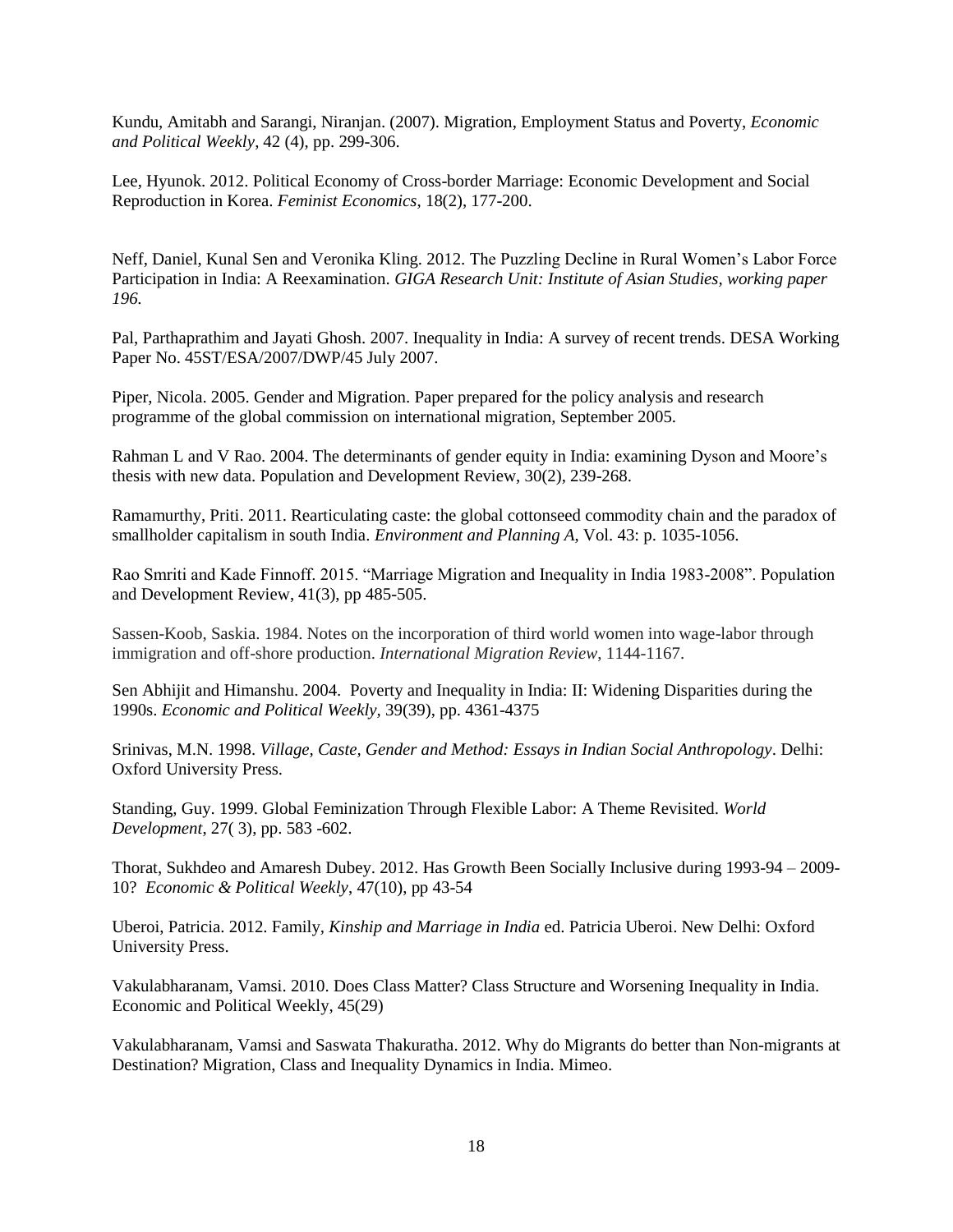Kundu, Amitabh and Sarangi, Niranjan. (2007). Migration, Employment Status and Poverty, *Economic and Political Weekly*, 42 (4), pp. 299-306.

Lee, Hyunok. 2012. Political Economy of Cross-border Marriage: Economic Development and Social Reproduction in Korea. *Feminist Economics*, 18(2), 177-200.

Neff, Daniel, Kunal Sen and Veronika Kling. 2012. The Puzzling Decline in Rural Women's Labor Force Participation in India: A Reexamination. *GIGA Research Unit: Institute of Asian Studies, working paper 196.*

Pal, Parthaprathim and Jayati Ghosh. 2007. Inequality in India: A survey of recent trends. DESA Working Paper No. 45ST/ESA/2007/DWP/45 July 2007.

Piper, Nicola. 2005. Gender and Migration. Paper prepared for the policy analysis and research programme of the global commission on international migration, September 2005.

Rahman L and V Rao. 2004. The determinants of gender equity in India: examining Dyson and Moore's thesis with new data. Population and Development Review, 30(2), 239-268.

Ramamurthy, Priti. 2011. Rearticulating caste: the global cottonseed commodity chain and the paradox of smallholder capitalism in south India. *Environment and Planning A*, Vol. 43: p. 1035-1056.

Rao Smriti and Kade Finnoff. 2015. "Marriage Migration and Inequality in India 1983-2008". Population and Development Review, 41(3), pp 485-505.

Sassen-Koob, Saskia. 1984. Notes on the incorporation of third world women into wage-labor through immigration and off-shore production. *International Migration Review*, 1144-1167.

Sen Abhijit and Himanshu. 2004. Poverty and Inequality in India: II: Widening Disparities during the 1990s. *Economic and Political Weekly,* 39(39), pp. 4361-4375

Srinivas, M.N. 1998. *Village, Caste, Gender and Method: Essays in Indian Social Anthropology*. Delhi: Oxford University Press.

Standing, Guy. 1999. Global Feminization Through Flexible Labor: A Theme Revisited. *World Development*, 27( 3), pp. 583 -602.

Thorat, Sukhdeo and Amaresh Dubey. 2012. Has Growth Been Socially Inclusive during 1993-94 – 2009- 10? *Economic & Political Weekly*, 47(10), pp 43-54

Uberoi, Patricia. 2012. Family*, Kinship and Marriage in India* ed. Patricia Uberoi. New Delhi: Oxford University Press.

Vakulabharanam, Vamsi. 2010. Does Class Matter? Class Structure and Worsening Inequality in India. Economic and Political Weekly, 45(29)

Vakulabharanam, Vamsi and Saswata Thakuratha. 2012. Why do Migrants do better than Non-migrants at Destination? Migration, Class and Inequality Dynamics in India. Mimeo.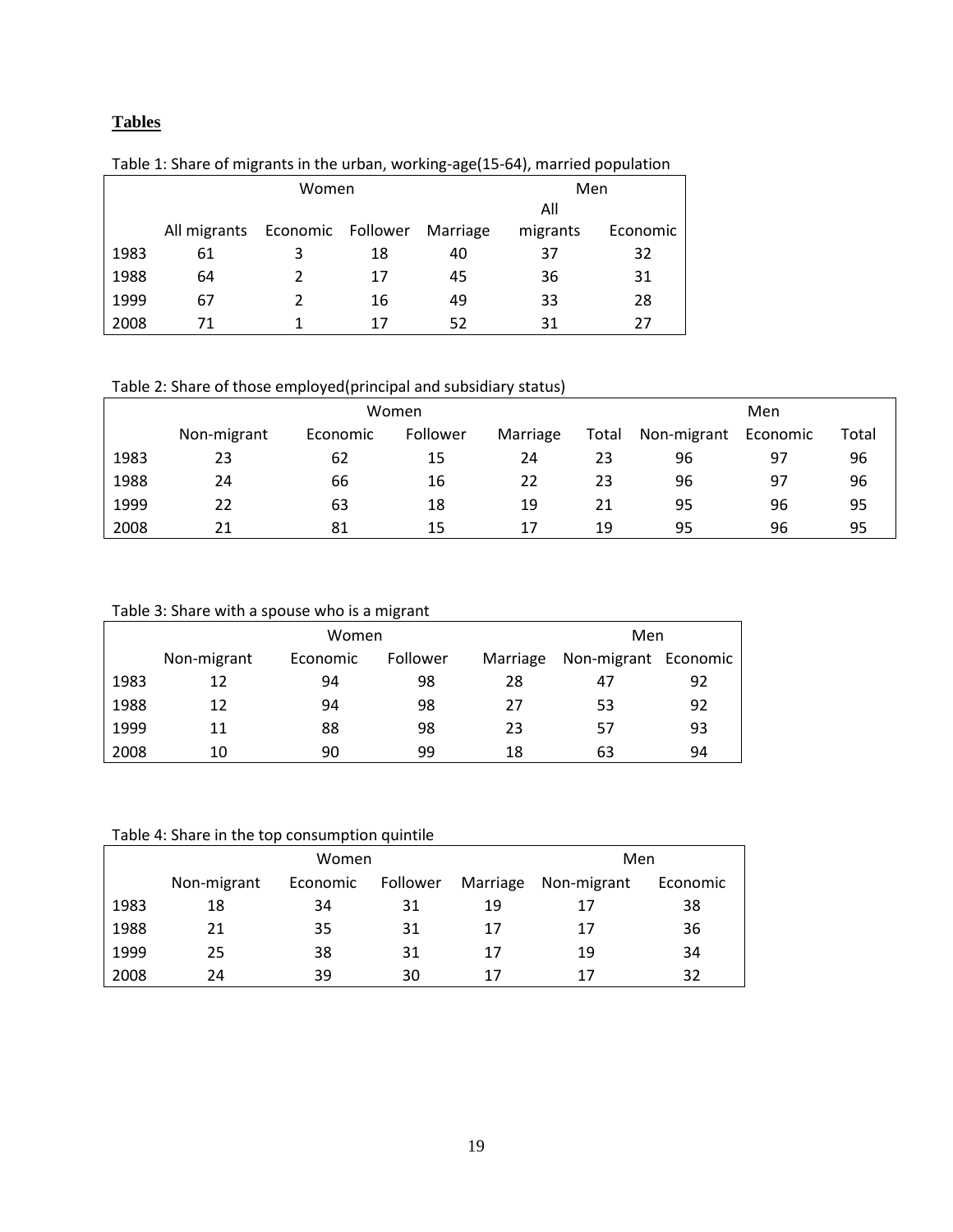# **Tables**

|      | rabic 1. Share or migrants in the arban, working age(15 0+), married population |                            |     |    |          |          |
|------|---------------------------------------------------------------------------------|----------------------------|-----|----|----------|----------|
|      |                                                                                 | Women                      | Men |    |          |          |
|      |                                                                                 |                            | All |    |          |          |
|      | All migrants                                                                    | Economic Follower Marriage |     |    | migrants | Economic |
| 1983 | 61                                                                              | 3                          | 18  | 40 | 37       | 32       |
| 1988 | 64                                                                              |                            | 17  | 45 | 36       | 31       |
| 1999 | 67                                                                              |                            | 16  | 49 | 33       | 28       |
| 2008 | 71                                                                              |                            |     | 52 | 31       | 27       |

Table 1: Share of migrants in the urban, working-age(15-64), married population

# Table 2: Share of those employed(principal and subsidiary status)

|      | Women       |          |          |          |       |             | Men      |       |
|------|-------------|----------|----------|----------|-------|-------------|----------|-------|
|      | Non-migrant | Economic | Follower | Marriage | Total | Non-migrant | Economic | Total |
| 1983 | 23          | 62       | 15       | 24       | 23    | 96          | 97       | 96    |
| 1988 | 24          | 66       | 16       | 22       | 23    | 96          | 97       | 96    |
| 1999 | 22          | 63       | 18       | 19       | 21    | 95          | 96       | 95    |
| 2008 |             | 81       | 15       | 17       | 19    | 95          | 96       | 95    |

Table 3: Share with a spouse who is a migrant

|      |             | Men      |          |          |                      |    |
|------|-------------|----------|----------|----------|----------------------|----|
|      | Non-migrant | Economic | Follower | Marriage | Non-migrant Economic |    |
| 1983 | 12          | 94       | 98       | 28       | 47                   | 92 |
| 1988 | 12          | 94       | 98       | 27       | 53                   | 92 |
| 1999 | 11          | 88       | 98       | 23       | 57                   | 93 |
| 2008 | 10          | 90       | 99       | 18       | 63                   | 94 |

Table 4: Share in the top consumption quintile

|      |             | Women    | Men      |    |                      |          |
|------|-------------|----------|----------|----|----------------------|----------|
|      | Non-migrant | Economic | Follower |    | Marriage Non-migrant | Economic |
| 1983 | 18          | 34       | 31       | 19 | 17                   | 38       |
| 1988 | 21          | 35       | 31       | 17 | 17                   | 36       |
| 1999 | 25          | 38       | 31       | 17 | 19                   | 34       |
| 2008 | 24          | 39       | 30       | 17 | 17                   | 32       |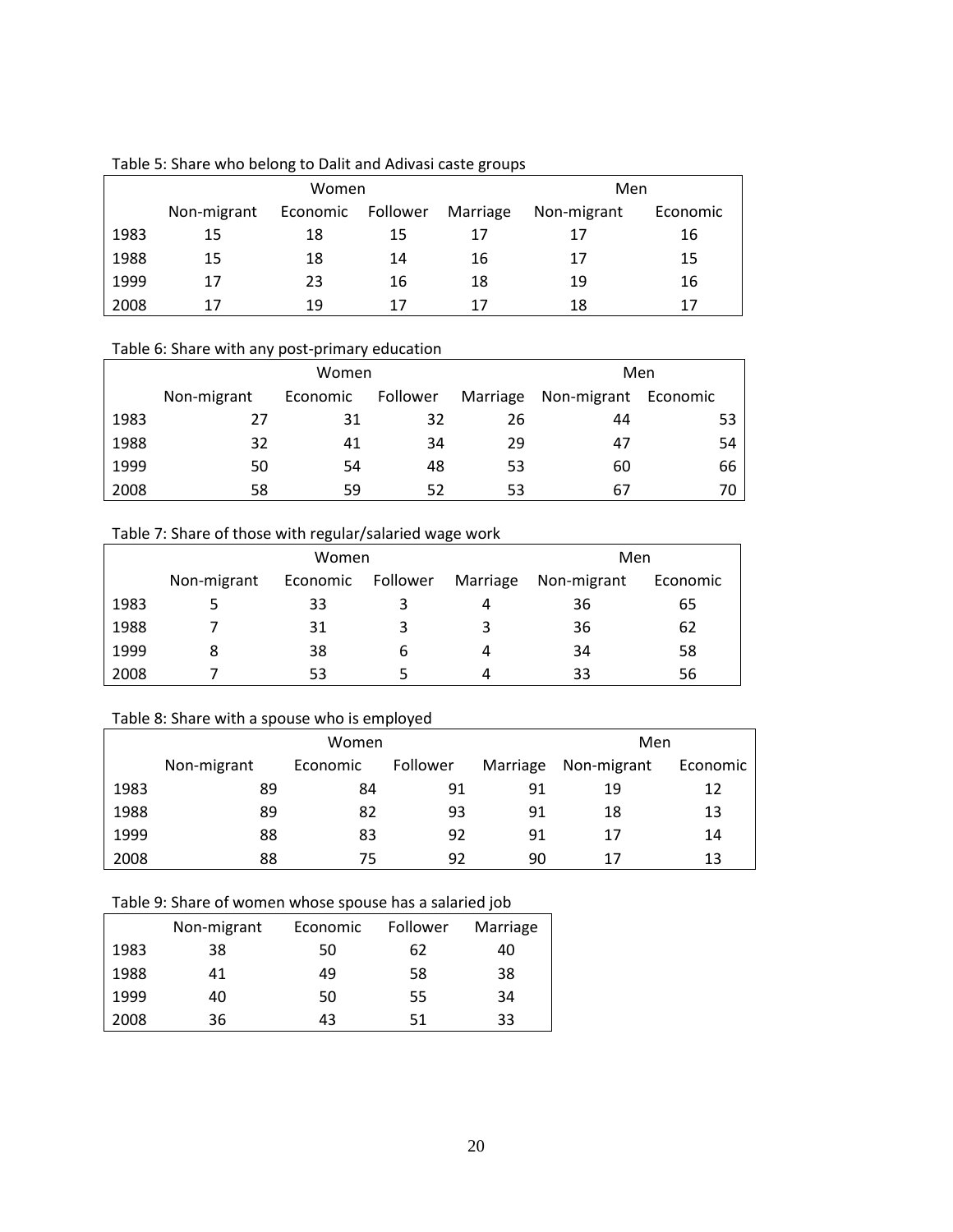|      |             | Women    | Men      |          |             |          |
|------|-------------|----------|----------|----------|-------------|----------|
|      | Non-migrant | Economic | Follower | Marriage | Non-migrant | Economic |
| 1983 | 15          | 18       | 15       | 17       |             | 16       |
| 1988 | 15          | 18       | 14       | 16       | 17          | 15       |
| 1999 | 17          | 23       | 16       | 18       | 19          | 16       |
| 2008 | 17          | 19       | 17       | 17       | 18          | 17       |

## Table 5: Share who belong to Dalit and Adivasi caste groups

# Table 6: Share with any post-primary education

|      |             | Women                | Men |    |                      |          |
|------|-------------|----------------------|-----|----|----------------------|----------|
|      | Non-migrant | Follower<br>Economic |     |    | Marriage Non-migrant | Economic |
| 1983 | 27          | 31                   | 32  | 26 | 44                   | 53       |
| 1988 | 32          | 41                   | 34  | 29 | 47                   | 54       |
| 1999 | 50          | 54                   | 48  | 53 | 60                   | 66       |
| 2008 | 58          | 59                   | 52  | 53 | 67                   | 70       |

# Table 7: Share of those with regular/salaried wage work

|      |             | Women             | Men |          |             |          |
|------|-------------|-------------------|-----|----------|-------------|----------|
|      | Non-migrant | Economic Follower |     | Marriage | Non-migrant | Economic |
| 1983 |             | 33                |     | 4        | 36          | 65       |
| 1988 |             | 31                |     | 3        | 36          | 62       |
| 1999 | 8           | 38                | b   | 4        | 34          | 58       |
| 2008 |             | 53                |     | 4        | 33          | 56       |

## Table 8: Share with a spouse who is employed

|      |             | Men      |          |          |             |          |
|------|-------------|----------|----------|----------|-------------|----------|
|      | Non-migrant | Economic | Follower | Marriage | Non-migrant | Economic |
| 1983 | 89          | 84       | 91       | 91       | 19          | 12       |
| 1988 | 89          | 82       | 93       | 91       | 18          | 13       |
| 1999 | 88          | 83       | 92       | 91       | 17          | 14       |
| 2008 | 88          | 75       | 92       | 90       | 17          | 13       |

Table 9: Share of women whose spouse has a salaried job

|      | Non-migrant | Economic | Follower | Marriage |
|------|-------------|----------|----------|----------|
| 1983 | 38          | 50       | 62       | 40       |
| 1988 | 41          | 49       | 58       | 38       |
| 1999 | 40          | 50       | 55       | 34       |
| 2008 | 36          | 43       | 51       | 33       |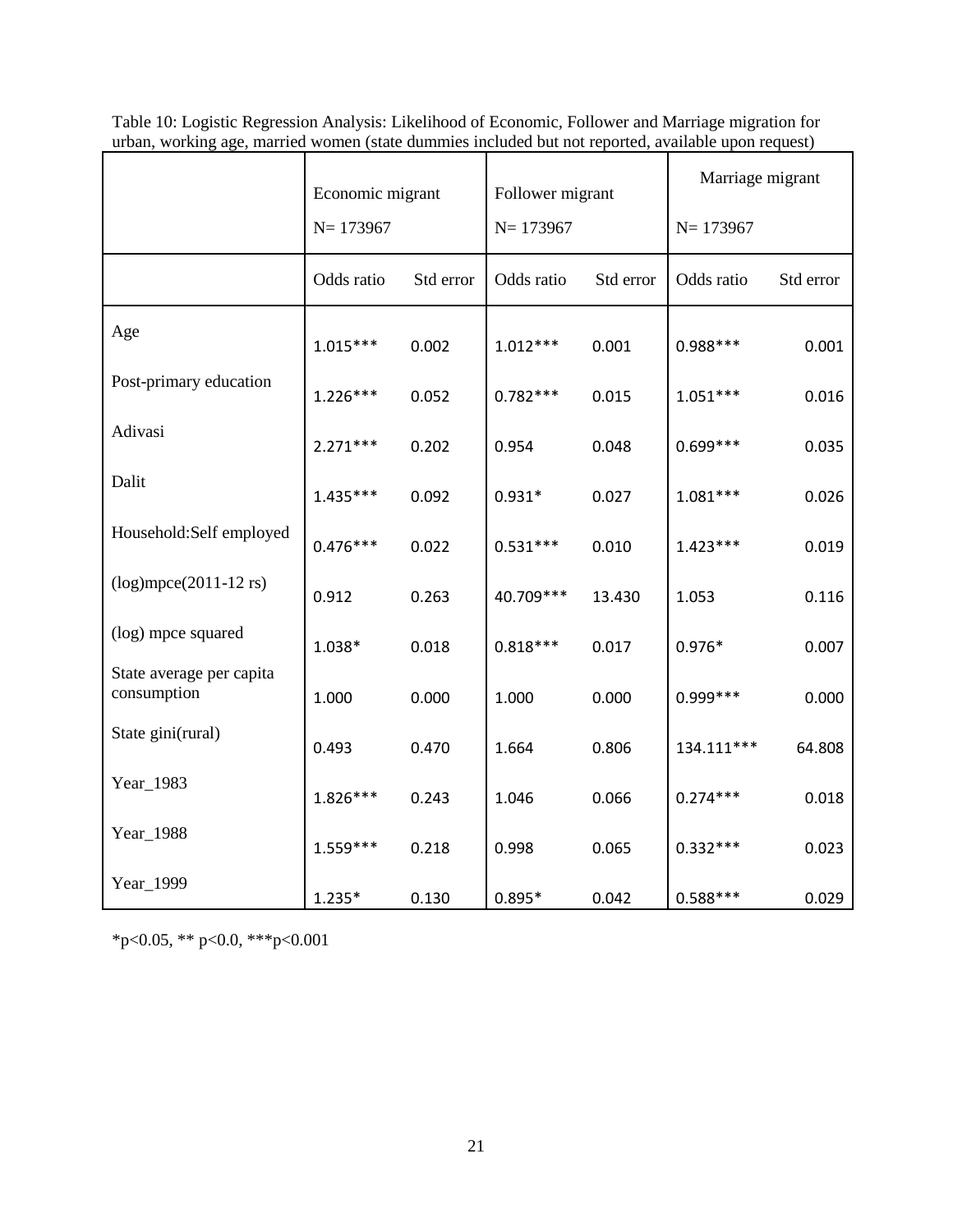|                                         | Economic migrant |           | Follower migrant |           | Marriage migrant |           |
|-----------------------------------------|------------------|-----------|------------------|-----------|------------------|-----------|
|                                         | $N = 173967$     |           | $N = 173967$     |           | $N = 173967$     |           |
|                                         | Odds ratio       | Std error | Odds ratio       | Std error | Odds ratio       | Std error |
| Age                                     | $1.015***$       | 0.002     | $1.012***$       | 0.001     | $0.988***$       | 0.001     |
| Post-primary education                  | $1.226***$       | 0.052     | $0.782***$       | 0.015     | $1.051***$       | 0.016     |
| Adivasi                                 | $2.271***$       | 0.202     | 0.954            | 0.048     | $0.699***$       | 0.035     |
| Dalit                                   | $1.435***$       | 0.092     | $0.931*$         | 0.027     | $1.081***$       | 0.026     |
| Household:Self employed                 | $0.476***$       | 0.022     | $0.531***$       | 0.010     | $1.423***$       | 0.019     |
| $(log)$ mpce $(2011-12$ rs)             | 0.912            | 0.263     | 40.709 ***       | 13.430    | 1.053            | 0.116     |
| (log) mpce squared                      | 1.038*           | 0.018     | $0.818***$       | 0.017     | $0.976*$         | 0.007     |
| State average per capita<br>consumption | 1.000            | 0.000     | 1.000            | 0.000     | $0.999***$       | 0.000     |
| State gini(rural)                       | 0.493            | 0.470     | 1.664            | 0.806     | 134.111***       | 64.808    |
| Year_1983                               | 1.826***         | 0.243     | 1.046            | 0.066     | $0.274***$       | 0.018     |
| Year_1988                               | $1.559***$       | 0.218     | 0.998            | 0.065     | $0.332***$       | 0.023     |
| Year_1999                               | $1.235*$         | 0.130     | $0.895*$         | 0.042     | $0.588***$       | 0.029     |

Table 10: Logistic Regression Analysis: Likelihood of Economic, Follower and Marriage migration for urban, working age, married women (state dummies included but not reported, available upon request)

\*p<0.05, \*\* p<0.0, \*\*\*p<0.001